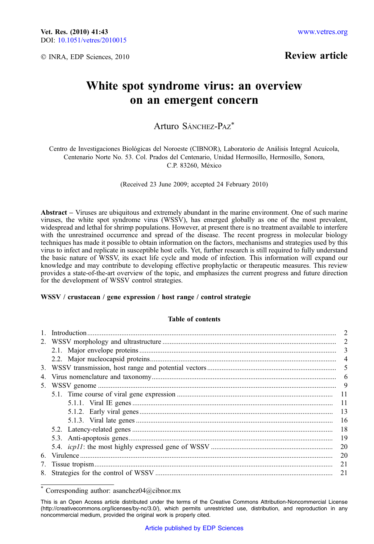© INRA, EDP Sciences, 2010

# Review article

# White spot syndrome virus: an overview on an emergent concern

# Arturo SÁNCHEZ-PAZ<sup>\*</sup>

Centro de Investigaciones Biológicas del Noroeste (CIBNOR), Laboratorio de Análisis Integral Acuícola, Centenario Norte No. 53. Col. Prados del Centenario, Unidad Hermosillo, Hermosillo, Sonora, C.P. 83260, México

(Received 23 June 2009; accepted 24 February 2010)

Abstract – Viruses are ubiquitous and extremely abundant in the marine environment. One of such marine viruses, the white spot syndrome virus (WSSV), has emerged globally as one of the most prevalent, widespread and lethal for shrimp populations. However, at present there is no treatment available to interfere with the unrestrained occurrence and spread of the disease. The recent progress in molecular biology techniques has made it possible to obtain information on the factors, mechanisms and strategies used by this virus to infect and replicate in susceptible host cells. Yet, further research is still required to fully understand the basic nature of WSSV, its exact life cycle and mode of infection. This information will expand our knowledge and may contribute to developing effective prophylactic or therapeutic measures. This review provides a state-of-the-art overview of the topic, and emphasizes the current progress and future direction for the development of WSSV control strategies.

#### WSSV / crustacean / gene expression / host range / control strategie

#### Table of contents

| $\mathbf{1}$ . |  | $\overline{2}$ |  |  |  |
|----------------|--|----------------|--|--|--|
|                |  |                |  |  |  |
|                |  |                |  |  |  |
|                |  | $\overline{4}$ |  |  |  |
|                |  |                |  |  |  |
|                |  | -6             |  |  |  |
|                |  | 9              |  |  |  |
|                |  |                |  |  |  |
|                |  | - 11           |  |  |  |
|                |  | -13            |  |  |  |
|                |  | 16             |  |  |  |
|                |  | 18             |  |  |  |
|                |  | 19             |  |  |  |
|                |  |                |  |  |  |
| 6.             |  |                |  |  |  |
| 7.             |  |                |  |  |  |
|                |  |                |  |  |  |
|                |  |                |  |  |  |

Corresponding author: asanchez $04@$ cibnor.mx

This is an Open Access article distributed under the terms of the Creative Commons Attribution-Noncommercial License (http://creativecommons.org/licenses/by-nc/3.0/), which permits unrestricted use, distribution, and reproduction in any noncommercial medium, provided the original work is properly cited.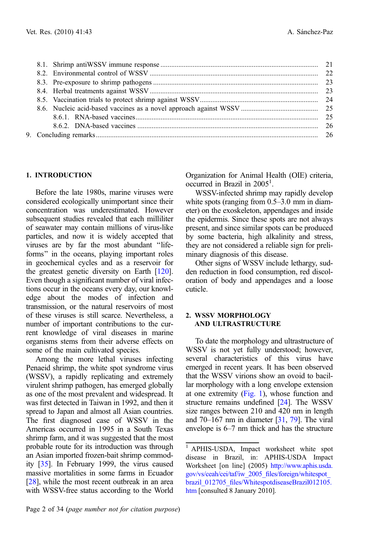#### 1. INTRODUCTION

Before the late 1980s, marine viruses were considered ecologically unimportant since their concentration was underestimated. However subsequent studies revealed that each milliliter of seawater may contain millions of virus-like particles, and now it is widely accepted that viruses are by far the most abundant ''lifeforms'' in the oceans, playing important roles in geochemical cycles and as a reservoir for the greatest genetic diversity on Earth [[120](#page-31-0)]. Even though a significant number of viral infections occur in the oceans every day, our knowledge about the modes of infection and transmission, or the natural reservoirs of most of these viruses is still scarce. Nevertheless, a number of important contributions to the current knowledge of viral diseases in marine organisms stems from their adverse effects on some of the main cultivated species.

Among the more lethal viruses infecting Penaeid shrimp, the white spot syndrome virus (WSSV), a rapidly replicating and extremely virulent shrimp pathogen, has emerged globally as one of the most prevalent and widespread. It was first detected in Taiwan in 1992, and then it spread to Japan and almost all Asian countries. The first diagnosed case of WSSV in the Americas occurred in 1995 in a South Texas shrimp farm, and it was suggested that the most probable route for its introduction was through an Asian imported frozen-bait shrimp commodity [[35](#page-27-0)]. In February 1999, the virus caused massive mortalities in some farms in Ecuador [[28](#page-27-0)], while the most recent outbreak in an area with WSSV-free status according to the World

Page 2 of 34 (page number not for citation purpose)

Organization for Animal Health (OIE) criteria, occurred in Brazil in 2005<sup>1</sup>.

WSSV-infected shrimp may rapidly develop white spots (ranging from  $0.5-3.0$  mm in diameter) on the exoskeleton, appendages and inside the epidermis. Since these spots are not always present, and since similar spots can be produced by some bacteria, high alkalinity and stress, they are not considered a reliable sign for preliminary diagnosis of this disease.

Other signs of WSSV include lethargy, sudden reduction in food consumption, red discoloration of body and appendages and a loose cuticle.

# 2. WSSV MORPHOLOGY AND ULTRASTRUCTURE

To date the morphology and ultrastructure of WSSV is not yet fully understood; however, several characteristics of this virus have emerged in recent years. It has been observed that the WSSV virions show an ovoid to bacillar morphology with a long envelope extension at one extremity  $(Fig. 1)$  $(Fig. 1)$ , whose function and structure remains undefined [\[24](#page-27-0)]. The WSSV size ranges between 210 and 420 nm in length and 70–167 nm in diameter [[31](#page-27-0), [79\]](#page-29-0). The viral envelope is 6–7 nm thick and has the structure

<sup>1</sup> APHIS-USDA, Impact worksheet white spot disease in Brazil, in: APHIS-USDA Impact Worksheet [on line] (2005) [http://www.aphis.usda.](http://www.aphis.usda.gov/vs/ceah/cei/taf/iw_2005_files/foreign/whitespot_brazil_012705_files/WhitespotdiseaseBrazil012105.htm) [gov/vs/ceah/cei/taf/iw\\_2005\\_files/foreign/whitespot\\_](http://www.aphis.usda.gov/vs/ceah/cei/taf/iw_2005_files/foreign/whitespot_brazil_012705_files/WhitespotdiseaseBrazil012105.htm) brazil 012705 files/WhitespotdiseaseBrazil012105. [htm](http://www.aphis.usda.gov/vs/ceah/cei/taf/iw_2005_files/foreign/whitespot_brazil_012705_files/WhitespotdiseaseBrazil012105.htm) [consulted 8 January 2010].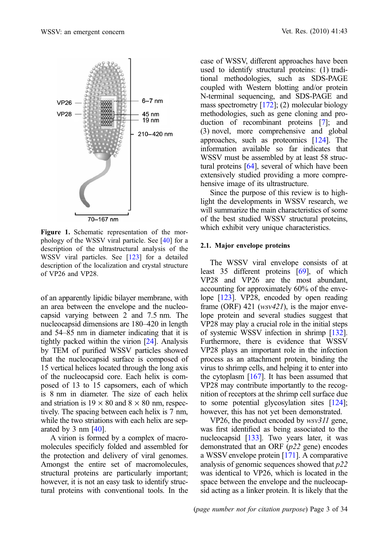<span id="page-2-0"></span>

Figure 1. Schematic representation of the morphology of the WSSV viral particle. See [[40\]](#page-28-0) for a description of the ultrastructural analysis of the WSSV viral particles. See [[123](#page-31-0)] for a detailed description of the localization and crystal structure of VP26 and VP28.

of an apparently lipidic bilayer membrane, with an area between the envelope and the nucleocapsid varying between 2 and 7.5 nm. The nucleocapsid dimensions are 180–420 in length and 54–85 nm in diameter indicating that it is tightly packed within the virion [\[24\]](#page-27-0). Analysis by TEM of purified WSSV particles showed that the nucleocapsid surface is composed of 15 vertical helices located through the long axis of the nucleocapsid core. Each helix is composed of 13 to 15 capsomers, each of which is 8 nm in diameter. The size of each helix and striation is  $19 \times 80$  and  $8 \times 80$  nm, respectively. The spacing between each helix is 7 nm, while the two striations with each helix are separated by 3 nm  $[40]$  $[40]$  $[40]$ .

A virion is formed by a complex of macromolecules specificly folded and assembled for the protection and delivery of viral genomes. Amongst the entire set of macromolecules, structural proteins are particularly important; however, it is not an easy task to identify structural proteins with conventional tools. In the

case of WSSV, different approaches have been used to identify structural proteins: (1) traditional methodologies, such as SDS-PAGE coupled with Western blotting and/or protein N-terminal sequencing, and SDS-PAGE and mass spectrometry [\[172](#page-33-0)]; (2) molecular biology methodologies, such as gene cloning and production of recombinant proteins [\[7](#page-26-0)]; and (3) novel, more comprehensive and global approaches, such as proteomics [[124](#page-31-0)]. The information available so far indicates that WSSV must be assembled by at least 58 structural proteins [[64](#page-29-0)], several of which have been extensively studied providing a more comprehensive image of its ultrastructure.

Since the purpose of this review is to highlight the developments in WSSV research, we will summarize the main characteristics of some of the best studied WSSV structural proteins, which exhibit very unique characteristics.

#### 2.1. Major envelope proteins

The WSSV viral envelope consists of at least 35 different proteins [[69](#page-29-0)], of which VP28 and VP26 are the most abundant, accounting for approximately 60% of the envelope [[123](#page-31-0)]. VP28, encoded by open reading frame (ORF) 421 ( $wsv421$ ), is the major envelope protein and several studies suggest that VP28 may play a crucial role in the initial steps of systemic WSSV infection in shrimp [\[132\]](#page-32-0). Furthermore, there is evidence that WSSV VP28 plays an important role in the infection process as an attachment protein, binding the virus to shrimp cells, and helping it to enter into the cytoplasm  $[167]$  $[167]$ . It has been assumed that VP28 may contribute importantly to the recognition of receptors at the shrimp cell surface due to some potential glycosylation sites [[124](#page-31-0)]; however, this has not yet been demonstrated.

VP26, the product encoded by wsv311 gene, was first identified as being associated to the nucleocapsid [[133](#page-32-0)]. Two years later, it was demonstrated that an ORF  $(p22)$  gene) encodes a WSSV envelope protein [[171](#page-33-0)]. A comparative analysis of genomic sequences showed that  $p22$ was identical to VP26, which is located in the space between the envelope and the nucleocapsid acting as a linker protein. It is likely that the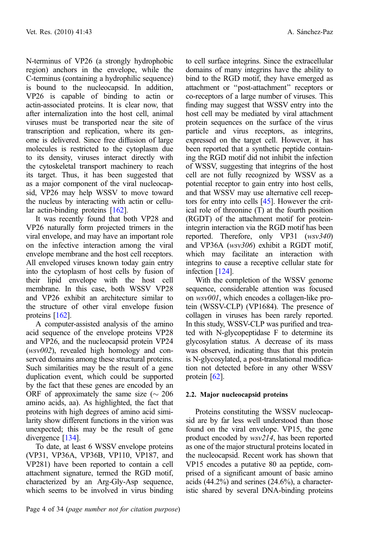N-terminus of VP26 (a strongly hydrophobic region) anchors in the envelope, while the C-terminus (containing a hydrophilic sequence) is bound to the nucleocapsid. In addition, VP26 is capable of binding to actin or actin-associated proteins. It is clear now, that after internalization into the host cell, animal viruses must be transported near the site of transcription and replication, where its genome is delivered. Since free diffusion of large molecules is restricted to the cytoplasm due to its density, viruses interact directly with the cytoskeletal transport machinery to reach its target. Thus, it has been suggested that as a major component of the viral nucleocapsid, VP26 may help WSSV to move toward the nucleus by interacting with actin or cellular actin-binding proteins [[162](#page-33-0)].

It was recently found that both VP28 and VP26 naturally form projected trimers in the viral envelope, and may have an important role on the infective interaction among the viral envelope membrane and the host cell receptors. All enveloped viruses known today gain entry into the cytoplasm of host cells by fusion of their lipid envelope with the host cell membrane. In this case, both WSSV VP28 and VP26 exhibit an architecture similar to the structure of other viral envelope fusion proteins [[162](#page-33-0)].

A computer-assisted analysis of the amino acid sequence of the envelope proteins VP28 and VP26, and the nucleocapsid protein VP24  $(wsv002)$ , revealed high homology and conserved domains among these structural proteins. Such similarities may be the result of a gene duplication event, which could be supported by the fact that these genes are encoded by an ORF of approximately the same size ( $\sim 206$ amino acids, aa). As highlighted, the fact that proteins with high degrees of amino acid similarity show different functions in the virion was unexpected; this may be the result of gene divergence [[134](#page-32-0)].

To date, at least 6 WSSV envelope proteins (VP31, VP36A, VP36B, VP110, VP187, and VP281) have been reported to contain a cell attachment signature, termed the RGD motif, characterized by an Arg-Gly-Asp sequence, which seems to be involved in virus binding to cell surface integrins. Since the extracellular domains of many integrins have the ability to bind to the RGD motif, they have emerged as attachment or ''post-attachment'' receptors or co-receptors of a large number of viruses. This finding may suggest that WSSV entry into the host cell may be mediated by viral attachment protein sequences on the surface of the virus particle and virus receptors, as integrins, expressed on the target cell. However, it has been reported that a synthetic peptide containing the RGD motif did not inhibit the infection of WSSV, suggesting that integrins of the host cell are not fully recognized by WSSV as a potential receptor to gain entry into host cells, and that WSSV may use alternative cell receptors for entry into cells [\[45\]](#page-28-0). However the critical role of threonine (T) at the fourth position (RGDT) of the attachment motif for proteinintegrin interaction via the RGD motif has been reported. Therefore, only VP31 (wsv340) and VP36A (wsv306) exhibit a RGDT motif, which may facilitate an interaction with integrins to cause a receptive cellular state for

With the completion of the WSSV genome sequence, considerable attention was focused on wsv001, which encodes a collagen-like protein (WSSV-CLP) (VP1684). The presence of collagen in viruses has been rarely reported. In this study, WSSV-CLP was purified and treated with N-glycopeptidase F to determine its glycosylation status. A decrease of its mass was observed, indicating thus that this protein is N-glycosylated, a post-translational modification not detected before in any other WSSV protein  $\left[62\right]$ .

# 2.2. Major nucleocapsid proteins

infection [[124](#page-31-0)].

Proteins constituting the WSSV nucleocapsid are by far less well understood than those found on the viral envelope. VP15, the gene product encoded by wsv214, has been reported as one of the major structural proteins located in the nucleocapsid. Recent work has shown that VP15 encodes a putative 80 aa peptide, comprised of a significant amount of basic amino acids (44.2%) and serines (24.6%), a characteristic shared by several DNA-binding proteins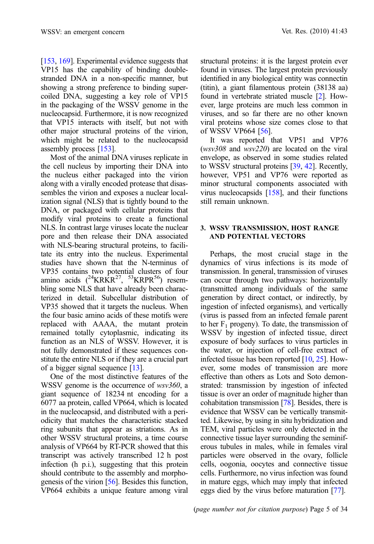[\[153,](#page-33-0) [169\]](#page-33-0). Experimental evidence suggests that VP15 has the capability of binding doublestranded DNA in a non-specific manner, but showing a strong preference to binding supercoiled DNA, suggesting a key role of VP15 in the packaging of the WSSV genome in the nucleocapsid. Furthermore, it is now recognized that VP15 interacts with itself, but not with other major structural proteins of the virion, which might be related to the nucleocapsid assembly process [\[153\]](#page-33-0).

Most of the animal DNA viruses replicate in the cell nucleus by importing their DNA into the nucleus either packaged into the virion along with a virally encoded protease that disassembles the virion and exposes a nuclear localization signal (NLS) that is tightly bound to the DNA, or packaged with cellular proteins that modify viral proteins to create a functional NLS. In contrast large viruses locate the nuclear pore and then release their DNA associated with NLS-bearing structural proteins, to facilitate its entry into the nucleus. Experimental studies have shown that the N-terminus of VP35 contains two potential clusters of four amino acids  $(^{24}K\text{RKR}^{27}, ^{53}\text{KRPR}^{56})$  resembling some NLS that have already been characterized in detail. Subcellular distribution of VP35 showed that it targets the nucleus. When the four basic amino acids of these motifs were replaced with AAAA, the mutant protein remained totally cytoplasmic, indicating its function as an NLS of WSSV. However, it is not fully demonstrated if these sequences constitute the entire NLS or if they are a crucial part of a bigger signal sequence [\[13\]](#page-26-0).

One of the most distinctive features of the WSSV genome is the occurrence of  $wsv360$ , a giant sequence of 18234 nt encoding for a 6077 aa protein, called VP664, which is located in the nucleocapsid, and distributed with a periodicity that matches the characteristic stacked ring subunits that appear as striations. As in other WSSV structural proteins, a time course analysis of VP664 by RT-PCR showed that this transcript was actively transcribed 12 h post infection (h p.i.), suggesting that this protein should contribute to the assembly and morphogenesis of the virion [[56](#page-28-0)]. Besides this function, VP664 exhibits a unique feature among viral

structural proteins: it is the largest protein ever found in viruses. The largest protein previously identified in any biological entity was connectin (titin), a giant filamentous protein (38138 aa) found in vertebrate striated muscle [\[2](#page-26-0)]. However, large proteins are much less common in viruses, and so far there are no other known viral proteins whose size comes close to that of WSSV VP664 [[56](#page-28-0)].

It was reported that VP51 and VP76  $(wsv308$  and  $wsv220$  are located on the viral envelope, as observed in some studies related to WSSV structural proteins [\[39,](#page-28-0) [42\]](#page-28-0). Recently, however, VP51 and VP76 were reported as minor structural components associated with virus nucleocapsids [\[158\]](#page-33-0), and their functions still remain unknown.

# 3. WSSV TRANSMISSION, HOST RANGE AND POTENTIAL VECTORS

Perhaps, the most crucial stage in the dynamics of virus infections is its mode of transmission. In general, transmission of viruses can occur through two pathways: horizontally (transmitted among individuals of the same generation by direct contact, or indirectly, by ingestion of infected organisms), and vertically (virus is passed from an infected female parent to her  $F_1$  progeny). To date, the transmission of WSSV by ingestion of infected tissue, direct exposure of body surfaces to virus particles in the water, or injection of cell-free extract of infected tissue has been reported [\[10,](#page-26-0) [25](#page-27-0)]. However, some modes of transmission are more effective than others as Lots and Soto demonstrated: transmission by ingestion of infected tissue is over an order of magnitude higher than cohabitation transmission [[78](#page-29-0)]. Besides, there is evidence that WSSV can be vertically transmitted. Likewise, by using in situ hybridization and TEM, viral particles were only detected in the connective tissue layer surrounding the seminiferous tubules in males, while in females viral particles were observed in the ovary, follicle cells, oogonia, oocytes and connective tissue cells. Furthermore, no virus infection was found in mature eggs, which may imply that infected eggs died by the virus before maturation [\[77](#page-29-0)].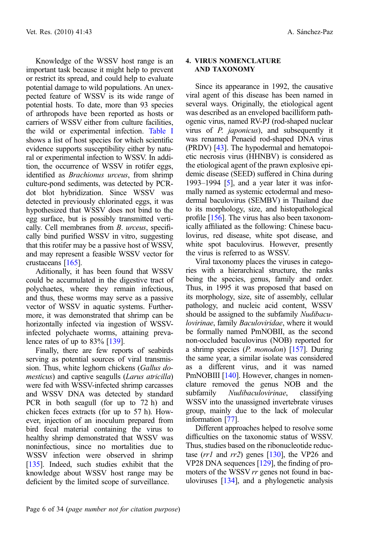Knowledge of the WSSV host range is an important task because it might help to prevent or restrict its spread, and could help to evaluate potential damage to wild populations. An unexpected feature of WSSV is its wide range of potential hosts. To date, more than 93 species of arthropods have been reported as hosts or carriers of WSSV either from culture facilities, the wild or experimental infection. [Table I](#page-6-0) shows a list of host species for which scientific evidence supports susceptibility either by natural or experimental infection to WSSV. In addition, the occurrence of WSSV in rotifer eggs, identified as *Brachionus urceus*, from shrimp culture-pond sediments, was detected by PCRdot blot hybridization. Since WSSV was detected in previously chlorinated eggs, it was hypothesized that WSSV does not bind to the egg surface, but is possibly transmitted vertically. Cell membranes from *B. urceus*, specifically bind purified WSSV in vitro, suggesting that this rotifer may be a passive host of WSSV, and may represent a feasible WSSV vector for crustaceans [\[165](#page-33-0)].

Aditionally, it has been found that WSSV could be accumulated in the digestive tract of polychaetes, where they remain infectious, and thus, these worms may serve as a passive vector of WSSV in aquatic systems. Furthermore, it was demonstrated that shrimp can be horizontally infected via ingestion of WSSVinfected polychaete worms, attaining prevalence rates of up to 83% [\[139\]](#page-32-0).

Finally, there are few reports of seabirds serving as potential sources of viral transmission. Thus, white leghorn chickens (Gallus domesticus) and captive seagulls (Larus atricilla) were fed with WSSV-infected shrimp carcasses and WSSV DNA was detected by standard PCR in both seagull (for up to 72 h) and chicken feces extracts (for up to 57 h). However, injection of an inoculum prepared from bird fecal material containing the virus to healthy shrimp demonstrated that WSSV was noninfectious, since no mortalities due to WSSV infection were observed in shrimp [[135](#page-32-0)]. Indeed, such studies exhibit that the knowledge about WSSV host range may be deficient by the limited scope of surveillance.

# 4. VIRUS NOMENCLATURE AND TAXONOMY

Since its appearance in 1992, the causative viral agent of this disease has been named in several ways. Originally, the etiological agent was described as an enveloped bacilliform pathogenic virus, named RV-PJ (rod-shaped nuclear virus of P. japonicus), and subsequently it was renamed Penaeid rod-shaped DNA virus (PRDV) [[43](#page-28-0)]. The hypodermal and hematopoietic necrosis virus (HHNBV) is considered as the etiological agent of the prawn explosive epidemic disease (SEED) suffered in China during 1993–1994 [\[5](#page-26-0)], and a year later it was informally named as systemic ectodermal and mesodermal baculovirus (SEMBV) in Thailand due to its morphology, size, and histopathological profile [\[156\]](#page-33-0). The virus has also been taxonomically affiliated as the following: Chinese baculovirus, red disease, white spot disease, and white spot baculovirus. However, presently the virus is referred to as WSSV.

Viral taxonomy places the viruses in categories with a hierarchical structure, the ranks being the species, genus, family and order. Thus, in 1995 it was proposed that based on its morphology, size, site of assembly, cellular pathology, and nucleic acid content, WSSV should be assigned to the subfamily Nudibaculovirinae, family Baculoviridae, where it would be formally named PmNOBII, as the second non-occluded baculovirus (NOB) reported for a shrimp species  $(P. \; monodon)$  [\[157\]](#page-33-0). During the same year, a similar isolate was considered as a different virus, and it was named PmNOBIII [\[140](#page-32-0)]. However, changes in nomenclature removed the genus NOB and the subfamily Nudibaculovirinae, classifying WSSV into the unassigned invertebrate viruses group, mainly due to the lack of molecular information [\[77\]](#page-29-0).

Different approaches helped to resolve some difficulties on the taxonomic status of WSSV. Thus, studies based on the ribonucleotide reductase  $(rr1$  and  $rr2$ ) genes [[130](#page-32-0)], the VP26 and VP28 DNA sequences [[129](#page-32-0)], the finding of promoters of the WSSV rr genes not found in baculoviruses [\[134](#page-32-0)], and a phylogenetic analysis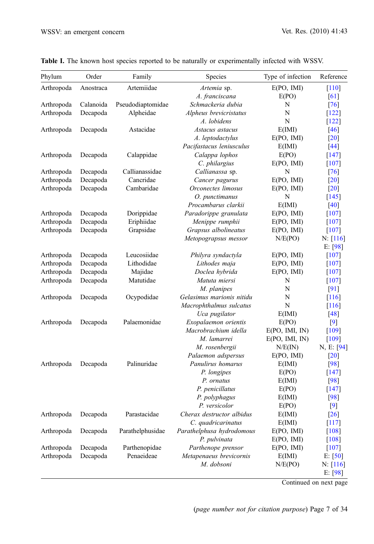| Phylum     | Order     | Family            | Species                   | Type of infection | Reference          |
|------------|-----------|-------------------|---------------------------|-------------------|--------------------|
| Arthropoda | Anostraca | Artemiidae        | Artemia sp.               | E(PO, IMI)        | $[110]$            |
|            |           |                   | A. franciscana            | E(PO)             | [61]               |
| Arthropoda | Calanoida | Pseudodiaptomidae | Schmackeria dubia         | N                 | [76]               |
| Arthropoda | Decapoda  | Alpheidae         | Alpheus brevicristatus    | N                 | $[122]$            |
|            |           |                   | A. lobidens               | N                 | $[122]$            |
| Arthropoda | Decapoda  | Astacidae         | Astacus astacus           | E(IMI)            | [46]               |
|            |           |                   | A. leptodactylus          | E(PO, IMI)        | $\lceil 20 \rceil$ |
|            |           |                   | Pacifastacus leniusculus  | E(IMI)            | $[44]$             |
| Arthropoda | Decapoda  | Calappidae        | Calappa lophos            | E(PO)             | $[147]$            |
|            |           |                   | C. philargius             | E(PO, IMI)        | $[107]$            |
| Arthropoda | Decapoda  | Callianassidae    | Callianassa sp.           | N                 | [76]               |
| Arthropoda | Decapoda  | Cancridae         | Cancer pagurus            | E(PO, IMI)        | [20]               |
| Arthropoda | Decapoda  | Cambaridae        | Orconectes limosus        | E(PO, IMI)        | $\lceil 20 \rceil$ |
|            |           |                   | O. punctimanus            | N                 | $[145]$            |
|            |           |                   | Procambarus clarkii       | E(IMI)            | [40]               |
| Arthropoda | Decapoda  | Dorippidae        | Paradorippe granulata     | E(PO, IMI)        | $[107]$            |
| Arthropoda | Decapoda  | Eriphiidae        | Menippe rumphii           | E(PO, IMI)        | $[107]$            |
| Arthropoda | Decapoda  | Grapsidae         | Grapsus albolineatus      | E(PO, IMI)        | $[107]$            |
|            |           |                   | Metopograpsus messor      | N/E(PO)           | N: [116]           |
|            |           |                   |                           |                   | E: [98]            |
| Arthropoda | Decapoda  | Leucosiidae       | Philyra syndactyla        | E(PO, IMI)        | $[107]$            |
| Arthropoda | Decapoda  | Lithodidae        | Lithodes maja             | E(PO, IMI)        | $[107]$            |
| Arthropoda | Decapoda  | Majidae           | Doclea hybrida            | E(PO, IMI)        | $[107]$            |
| Arthropoda | Decapoda  | Matutidae         | Matuta miersi             | N                 | $[107]$            |
|            |           |                   | M. planipes               | N                 | [91]               |
| Arthropoda | Decapoda  | Ocypodidae        | Gelasimus marionis nitidu | N                 | [116]              |
|            |           |                   | Macrophthalmus sulcatus   | N                 | $[116]$            |
|            |           |                   | Uca pugilator             | E(IMI)            | [48]               |
| Arthropoda | Decapoda  | Palaemonidae      | Exopalaemon orientis      | E(PO)             | [9]                |
|            |           |                   | Macrobrachium idella      | E(PO, IMI, IN)    | $[109]$            |
|            |           |                   | M. lamarrei               | E(PO, IMI, IN)    | $[109]$            |
|            |           |                   | M. rosenbergii            | N/E(IN)           | N, E: [94]         |
|            |           |                   | Palaemon adspersus        | E(PO, IMI)        | $\lceil 20 \rceil$ |
| Arthropoda | Decapoda  | Palinuridae       | Panulirus homarus         | E(IMI)            | [98]               |
|            |           |                   | P. longipes               | E(PO)             | $[147]$            |
|            |           |                   | P. ornatus                | E(IMI)            | [98]               |
|            |           |                   | P. penicillatus           | E(PO)             | $[147]$            |
|            |           |                   | P. polyphagus             | E(IMI)            | [98]               |
|            |           |                   | P. versicolor             | E(PO)             | $[9]$              |
| Arthropoda | Decapoda  | Parastacidae      | Cherax destructor albidus | E(IMI)            | $\lceil 26 \rceil$ |
|            |           |                   | C. quadricarinatus        | E(IMI)            | $[117]$            |
| Arthropoda | Decapoda  | Parathelphusidae  | Parathelphusa hydrodomous | E(PO, IMI)        | $[108]$            |
|            |           |                   | P. pulvinata              | E(PO, IMI)        | [108]              |
| Arthropoda | Decapoda  | Parthenopidae     | Parthenope prensor        | E(PO, IMI)        | $[107]$            |
| Arthropoda | Decapoda  | Penaeideae        | Metapenaeus brevicornis   | E(IMI)            | E: [50]            |
|            |           |                   | M. dobsoni                | N/E(PO)           | N: [116]           |
|            |           |                   |                           |                   | E: [98]            |
|            |           |                   |                           |                   |                    |

<span id="page-6-0"></span>Table I. The known host species reported to be naturally or experimentally infected with WSSV.

Continued on next page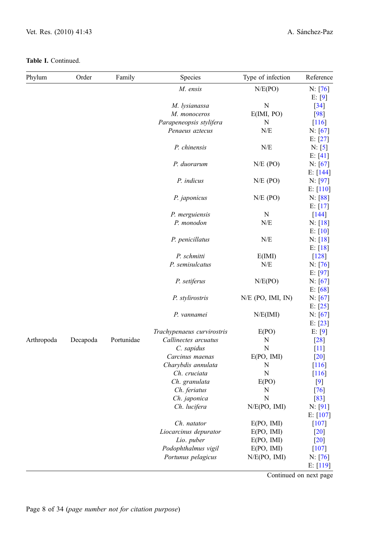# Table I. Continued.

| Phylum     | Order    | Family     | Species                    | Type of infection   | Reference                      |
|------------|----------|------------|----------------------------|---------------------|--------------------------------|
|            |          |            | M. ensis                   | N/E(PO)             | N: [76]                        |
|            |          |            |                            |                     | E: [9]                         |
|            |          |            | M. lysianassa              | N                   | $[34]$                         |
|            |          |            | M. monoceros               | E(IMI, PO)          | [98]                           |
|            |          |            | Parapeneopsis stylifera    | N                   | $[116]$                        |
|            |          |            | Penaeus aztecus            | N/E                 | N: [67]                        |
|            |          |            |                            |                     | E: [27]                        |
|            |          |            | P. chinensis               | N/E                 | $N$ [5]                        |
|            |          |            |                            |                     | E: [41]                        |
|            |          |            | P. duorarum                | $N/E$ (PO)          | N: [67]                        |
|            |          |            |                            |                     | E: [144]                       |
|            |          |            | P. indicus                 | $N/E$ (PO)          | N: [97]                        |
|            |          |            |                            |                     | E: [110]                       |
|            |          |            | P. japonicus               | $N/E$ (PO)          | N: [88]                        |
|            |          |            |                            |                     | E: [17]                        |
|            |          |            | P. merguiensis             | N                   | $\lceil 144 \rceil$            |
|            |          |            | P. monodon                 | N/E                 | N: [18]                        |
|            |          |            |                            |                     | E: [10]                        |
|            |          |            | P. penicillatus            | N/E                 | N: [18]                        |
|            |          |            | P. schmitti                | E(IMI)              | E: [18]                        |
|            |          |            | P. semisulcatus            | N/E                 | $\lceil 128 \rceil$<br>N: [76] |
|            |          |            |                            |                     | E: [97]                        |
|            |          |            | P. setiferus               | N/E(PO)             | N: [67]                        |
|            |          |            |                            |                     | E: [68]                        |
|            |          |            | P. stylirostris            | $N/E$ (PO, IMI, IN) | N: [67]                        |
|            |          |            |                            |                     | E: [25]                        |
|            |          |            | P. vannamei                | N/E(IMI)            | N: [67]                        |
|            |          |            |                            |                     | E: [23]                        |
|            |          |            | Trachypenaeus curvirostris | E(PO)               | E: [9]                         |
| Arthropoda | Decapoda | Portunidae | Callinectes arcuatus       | N                   | [28]                           |
|            |          |            | C. sapidus                 | N                   | $\lceil 11 \rceil$             |
|            |          |            | Carcinus maenas            | E(PO, IMI)          | $\lceil 20 \rceil$             |
|            |          |            | Charybdis annulata         | N                   | [116]                          |
|            |          |            | Ch. cruciata               | N                   | [116]                          |
|            |          |            | Ch. granulata              | E(PO)               | [9]                            |
|            |          |            | Ch. feriatus               | N                   | $[76]$                         |
|            |          |            | Ch. japonica               | N                   | [83]                           |
|            |          |            | Ch. lucifera               | N/E(PO, IMI)        | N: [91]                        |
|            |          |            |                            |                     | E: [107]                       |
|            |          |            | Ch. natator                | E(PO, IMI)          | $[107]$                        |
|            |          |            | Liocarcinus depurator      | E(PO, IMI)          | $[20]$                         |
|            |          |            | Lio. puber                 | E(PO, IMI)          | [20]                           |
|            |          |            | Podophthalmus vigil        | E(PO, IMI)          | $\lceil 107 \rceil$            |
|            |          |            | Portunus pelagicus         | N/E(PO, IMI)        | N: [76]                        |
|            |          |            |                            |                     | E: [119]                       |

Continued on next page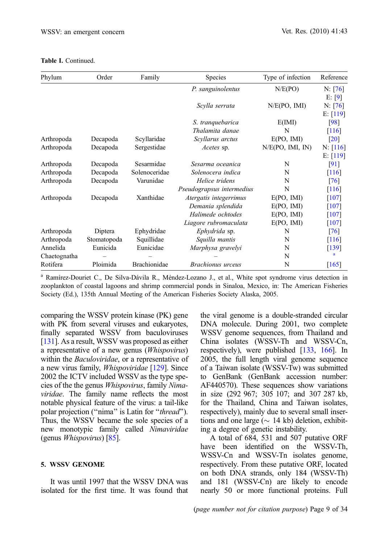| Phylum       | Order       | Family              | Species                   | Type of infection | Reference          |
|--------------|-------------|---------------------|---------------------------|-------------------|--------------------|
|              |             |                     | P. sanguinolentus         | N/E(PO)           | N: [76]            |
|              |             |                     |                           |                   | E: [9]             |
|              |             |                     | Scylla serrata            | N/E(PO, IMI)      | N: [76]            |
|              |             |                     |                           |                   | E: [119]           |
|              |             |                     | S. tranquebarica          | E(IMI)            | [98]               |
|              |             |                     | Thalamita danae           | N                 | [116]              |
| Arthropoda   | Decapoda    | Scyllaridae         | Scyllarus arctus          | E(PO, IMI)        | $\lceil 20 \rceil$ |
| Arthropoda   | Decapoda    | Sergestidae         | Acetes sp.                | N/E(PO, IMI, IN)  | N: [116]           |
|              |             |                     |                           |                   | E: [119]           |
| Arthropoda   | Decapoda    | Sesarmidae          | Sesarma oceanica          | N                 | [91]               |
| Arthropoda   | Decapoda    | Solenoceridae       | Solenocera indica         | N                 | [116]              |
| Arthropoda   | Decapoda    | Varunidae           | Helice tridens            | N                 | [76]               |
|              |             |                     | Pseudograpsus intermedius | N                 | [116]              |
| Arthropoda   | Decapoda    | Xanthidae           | Atergatis integerrimus    | E(PO, IMI)        | $[107]$            |
|              |             |                     | Demania splendida         | E(PO, IMI)        | [107]              |
|              |             |                     | Halimede ochtodes         | E(PO, IMI)        | [107]              |
|              |             |                     | Liagore rubromaculata     | E(PO, IMI)        | [107]              |
| Arthropoda   | Diptera     | Ephydridae          | Ephydrida sp.             | N                 | [76]               |
| Arthropoda   | Stomatopoda | Squillidae          | Squilla mantis            | N                 | [116]              |
| Annelida     | Eunicida    | Eunicidae           | Marphysa gravelyi         | N                 | [139]              |
| Chaetognatha |             |                     |                           | N                 | a                  |
| Rotifera     | Ploimida    | <b>Brachionidae</b> | <b>Brachionus</b> urceus  | N                 | [165]              |

#### Table I. Continued.

<sup>a</sup> Ramírez-Douriet C., De Silva-Dávila R., Méndez-Lozano J., et al., White spot syndrome virus detection in zooplankton of coastal lagoons and shrimp commercial ponds in Sinaloa, Mexico, in: The American Fisheries Society (Ed.), 135th Annual Meeting of the American Fisheries Society Alaska, 2005.

comparing the WSSV protein kinase (PK) gene with PK from several viruses and eukaryotes, finally separated WSSV from baculoviruses [\[131\]](#page-32-0). As a result, WSSV was proposed as either a representative of a new genus (Whispovirus) within the *Baculoviridae*, or a representative of a new virus family, Whispoviridae [\[129](#page-32-0)]. Since 2002 the ICTV included WSSV as the type species of the the genus Whispovirus, family Nimaviridae. The family name reflects the most notable physical feature of the virus: a tail-like polar projection ("nima" is Latin for "*thread*"). Thus, the WSSV became the sole species of a new monotypic family called Nimaviridae (genus Whispovirus) [[85](#page-30-0)].

#### 5. WSSV GENOME

It was until 1997 that the WSSV DNA was isolated for the first time. It was found that the viral genome is a double-stranded circular DNA molecule. During 2001, two complete WSSV genome sequences, from Thailand and China isolates (WSSV-Th and WSSV-Cn, respectively), were published [[133](#page-32-0), [166\]](#page-33-0). In 2005, the full length viral genome sequence of a Taiwan isolate (WSSV-Tw) was submitted to GenBank (GenBank accession number: AF440570). These sequences show variations in size (292 967; 305 107; and 307 287 kb, for the Thailand, China and Taiwan isolates, respectively), mainly due to several small insertions and one large ( $\sim$  14 kb) deletion, exhibiting a degree of genetic instability.

A total of 684, 531 and 507 putative ORF have been identified on the WSSV-Th, WSSV-Cn and WSSV-Tn isolates genome, respectively. From these putative ORF, located on both DNA strands, only 184 (WSSV-Th) and 181 (WSSV-Cn) are likely to encode nearly 50 or more functional proteins. Full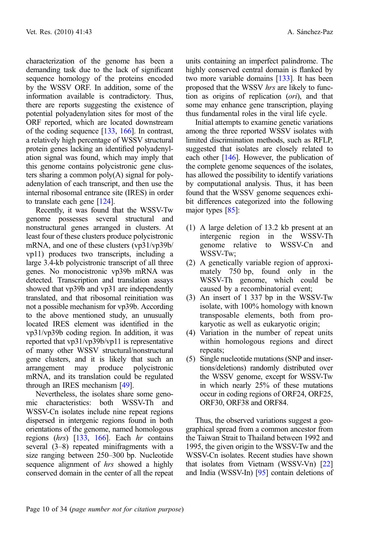characterization of the genome has been a demanding task due to the lack of significant sequence homology of the proteins encoded by the WSSV ORF. In addition, some of the information available is contradictory. Thus, there are reports suggesting the existence of potential polyadenylation sites for most of the ORF reported, which are located downstream of the coding sequence [[133](#page-32-0), [166](#page-33-0)]. In contrast, a relatively high percentage of WSSV structural protein genes lacking an identified polyadenylation signal was found, which may imply that this genome contains polycistronic gene clusters sharing a common poly(A) signal for polyadenylation of each transcript, and then use the internal ribosomal entrance site (IRES) in order to translate each gene [\[124\]](#page-31-0).

Recently, it was found that the WSSV-Tw genome possesses several structural and nonstructural genes arranged in clusters. At least four of these clusters produce polycistronic mRNA, and one of these clusters (vp31/vp39b/ vp11) produces two transcripts, including a large 3.4-kb polycistronic transcript of all three genes. No monocistronic vp39b mRNA was detected. Transcription and translation assays showed that vp39b and vp31 are independently translated, and that ribosomal reinitiation was not a possible mechanism for vp39b. According to the above mentioned study, an unusually located IRES element was identified in the vp31/vp39b coding region. In addition, it was reported that vp31/vp39b/vp11 is representative of many other WSSV structural/nonstructural gene clusters, and it is likely that such an arrangement may produce polycistronic mRNA, and its translation could be regulated through an IRES mechanism [[49](#page-28-0)].

Nevertheless, the isolates share some genomic characteristics: both WSSV-Th and WSSV-Cn isolates include nine repeat regions dispersed in intergenic regions found in both orientations of the genome, named homologous regions  $(hrs)$  [\[133](#page-32-0), [166\]](#page-33-0). Each  $hr$  contains several (3–8) repeated minifragments with a size ranging between 250–300 bp. Nucleotide sequence alignment of *hrs* showed a highly conserved domain in the center of all the repeat units containing an imperfect palindrome. The highly conserved central domain is flanked by two more variable domains [\[133\]](#page-32-0). It has been proposed that the WSSV hrs are likely to function as origins of replication (ori), and that some may enhance gene transcription, playing thus fundamental roles in the viral life cycle.

Initial attempts to examine genetic variations among the three reported WSSV isolates with limited discrimination methods, such as RFLP, suggested that isolates are closely related to each other [[146](#page-32-0)]. However, the publication of the complete genome sequences of the isolates, has allowed the possibility to identify variations by computational analysis. Thus, it has been found that the WSSV genome sequences exhibit differences categorized into the following major types [[85](#page-30-0)]:

- (1) A large deletion of 13.2 kb present at an intergenic region in the WSSV-Th genome relative to WSSV-Cn and WSSV-Tw;
- (2) A genetically variable region of approximately 750 bp, found only in the WSSV-Th genome, which could be caused by a recombinatorial event;
- (3) An insert of 1 337 bp in the WSSV-Tw isolate, with 100% homology with known transposable elements, both from prokaryotic as well as eukaryotic origin;
- (4) Variation in the number of repeat units within homologous regions and direct repeats;
- (5) Single nucleotide mutations (SNP and insertions/deletions) randomly distributed over the WSSV genome, except for WSSV-Tw in which nearly 25% of these mutations occur in coding regions of ORF24, ORF25, ORF30, ORF38 and ORF84.

Thus, the observed variations suggest a geographical spread from a common ancestor from the Taiwan Strait to Thailand between 1992 and 1995, the given origin to the WSSV-Tw and the WSSV-Cn isolates. Recent studies have shown that isolates from Vietnam (WSSV-Vn) [[22](#page-27-0)] and India (WSSV-In) [[95\]](#page-30-0) contain deletions of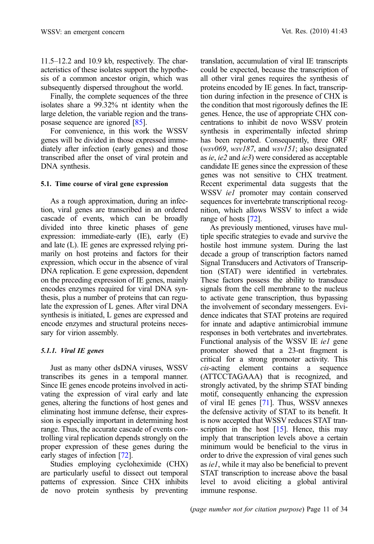11.5–12.2 and 10.9 kb, respectively. The characteristics of these isolates support the hypothesis of a common ancestor origin, which was subsequently dispersed throughout the world.

Finally, the complete sequences of the three isolates share a 99.32% nt identity when the large deletion, the variable region and the transposase sequence are ignored [\[85\]](#page-30-0).

For convenience, in this work the WSSV genes will be divided in those expressed immediately after infection (early genes) and those transcribed after the onset of viral protein and DNA synthesis.

# 5.1. Time course of viral gene expression

As a rough approximation, during an infection, viral genes are transcribed in an ordered cascade of events, which can be broadly divided into three kinetic phases of gene expression: immediate-early (IE), early (E) and late (L). IE genes are expressed relying primarily on host proteins and factors for their expression, which occur in the absence of viral DNA replication. E gene expression, dependent on the preceding expression of IE genes, mainly encodes enzymes required for viral DNA synthesis, plus a number of proteins that can regulate the expression of L genes. After viral DNA synthesis is initiated, L genes are expressed and encode enzymes and structural proteins necessary for virion assembly.

# 5.1.1. Viral IE genes

Just as many other dsDNA viruses, WSSV transcribes its genes in a temporal manner. Since IE genes encode proteins involved in activating the expression of viral early and late genes, altering the functions of host genes and eliminating host immune defense, their expression is especially important in determining host range. Thus, the accurate cascade of events controlling viral replication depends strongly on the proper expression of these genes during the early stages of infection [\[72](#page-29-0)].

Studies employing cycloheximide (CHX) are particularly useful to dissect out temporal patterns of expression. Since CHX inhibits de novo protein synthesis by preventing translation, accumulation of viral IE transcripts could be expected, because the transcription of all other viral genes requires the synthesis of proteins encoded by IE genes. In fact, transcription during infection in the presence of CHX is the condition that most rigorously defines the IE genes. Hence, the use of appropriate CHX concentrations to inhibit de novo WSSV protein synthesis in experimentally infected shrimp has been reported. Consequently, three ORF  $(wsv069, wsv187,$  and  $wsv151$ ; also designated as ie, ie2 and ie3) were considered as acceptable candidate IE genes since the expression of these genes was not sensitive to CHX treatment. Recent experimental data suggests that the WSSV *iel* promoter may contain conserved sequences for invertebrate transcriptional recognition, which allows WSSV to infect a wide range of hosts [[72](#page-29-0)].

As previously mentioned, viruses have multiple specific strategies to evade and survive the hostile host immune system. During the last decade a group of transcription factors named Signal Transducers and Activators of Transcription (STAT) were identified in vertebrates. These factors possess the ability to transduce signals from the cell membrane to the nucleus to activate gene transcription, thus bypassing the involvement of secondary messengers. Evidence indicates that STAT proteins are required for innate and adaptive antimicrobial immune responses in both vertebrates and invertebrates. Functional analysis of the WSSV IE *iel* gene promoter showed that a 23-nt fragment is critical for a strong promoter activity. This cis-acting element contains a sequence (ATTCCTAGAAA) that is recognized, and strongly activated, by the shrimp STAT binding motif, consequently enhancing the expression of viral IE genes [\[71\]](#page-29-0). Thus, WSSV annexes the defensive activity of STAT to its benefit. It is now accepted that WSSV reduces STAT transcription in the host  $[15]$  $[15]$ . Hence, this may imply that transcription levels above a certain minimum would be beneficial to the virus in order to drive the expression of viral genes such as ie1, while it may also be beneficial to prevent STAT transcription to increase above the basal level to avoid eliciting a global antiviral immune response.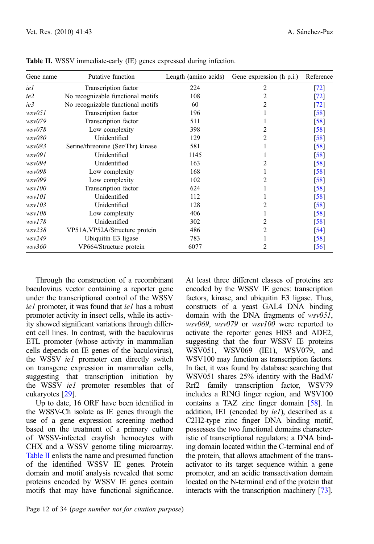| Gene name | Putative function                 | Length (amino acids) | Gene expression (h p.i.) | Reference |
|-----------|-----------------------------------|----------------------|--------------------------|-----------|
| iel       | Transcription factor              | 224                  | 2                        | [72]      |
| ie2       | No recognizable functional motifs | 108                  | 2                        | $[72]$    |
| ie3       | No recognizable functional motifs | 60                   | 2                        | $[72]$    |
| wsv051    | Transcription factor              | 196                  |                          | [58]      |
| wsv079    | Transcription factor              | 511                  |                          | [58]      |
| wsv078    | Low complexity                    | 398                  | 2                        | [58]      |
| wsv080    | Unidentified                      | 129                  | $\overline{c}$           | [58]      |
| wsv083    | Serine/threonine (Ser/Thr) kinase | 581                  |                          | [58]      |
| wsv091    | Unidentified                      | 1145                 |                          | [58]      |
| wsv094    | Unidentified                      | 163                  | 2                        | [58]      |
| wsv098    | Low complexity                    | 168                  |                          | [58]      |
| wsv099    | Low complexity                    | 102                  |                          | [58]      |
| wsv100    | Transcription factor              | 624                  |                          | [58]      |
| wsvl01    | Unidentified                      | 112                  |                          | [58]      |
| wsv103    | Unidentified                      | 128                  |                          | [58]      |
| wsv108    | Low complexity                    | 406                  |                          | [58]      |
| wsv178    | Unidentified                      | 302                  | 2                        | [58]      |
| wsv238    | VP51A, VP52A/Structure protein    | 486                  | $\overline{c}$           | [54]      |
| wsv249    | Ubiquitin E3 ligase               | 783                  |                          | [58]      |
| wsv360    | VP664/Structure protein           | 6077                 | 2                        | [56]      |

Table II. WSSV immediate-early (IE) genes expressed during infection.

Through the construction of a recombinant baculovirus vector containing a reporter gene under the transcriptional control of the WSSV ie1 promoter, it was found that *ie1* has a robust promoter activity in insect cells, while its activity showed significant variations through different cell lines. In contrast, with the baculovirus ETL promoter (whose activity in mammalian cells depends on IE genes of the baculovirus), the WSSV iel promoter can directly switch on transgene expression in mammalian cells, suggesting that transcription initiation by the WSSV *iel* promoter resembles that of eukaryotes [\[29](#page-27-0)].

Up to date, 16 ORF have been identified in the WSSV-Ch isolate as IE genes through the use of a gene expression screening method based on the treatment of a primary culture of WSSV-infected crayfish hemocytes with CHX and a WSSV genome tiling microarray. Table II enlists the name and presumed function of the identified WSSV IE genes. Protein domain and motif analysis revealed that some proteins encoded by WSSV IE genes contain motifs that may have functional significance. At least three different classes of proteins are encoded by the WSSV IE genes: transcription factors, kinase, and ubiquitin E3 ligase. Thus, constructs of a yeast GAL4 DNA binding domain with the DNA fragments of  $wsv051$ , wsv069, wsv079 or wsv100 were reported to activate the reporter genes HIS3 and ADE2, suggesting that the four WSSV IE proteins WSV051, WSV069 (IE1), WSV079, and WSV100 may function as transcription factors. In fact, it was found by database searching that WSV051 shares 25% identity with the BadM/ Rrf2 family transcription factor, WSV79 includes a RING finger region, and WSV100 contains a TAZ zinc finger domain [\[58\]](#page-28-0). In addition, IE1 (encoded by *ie1*), described as a C2H2-type zinc finger DNA binding motif, possesses the two functional domains characteristic of transcriptional regulators: a DNA binding domain located within the C-terminal end of the protein, that allows attachment of the transactivator to its target sequence within a gene promoter, and an acidic transactivation domain located on the N-terminal end of the protein that interacts with the transcription machinery [\[73\]](#page-29-0).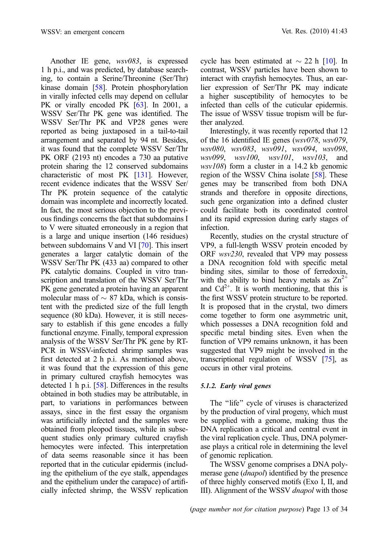Another IE gene, wsv083, is expressed 1 h p.i., and was predicted, by database searching, to contain a Serine/Threonine (Ser/Thr) kinase domain [[58](#page-28-0)]. Protein phosphorylation in virally infected cells may depend on cellular PK or virally encoded PK [\[63\]](#page-29-0). In 2001, a WSSV Ser/Thr PK gene was identified. The WSSV Ser/Thr PK and VP28 genes were reported as being juxtaposed in a tail-to-tail arrangement and separated by 94 nt. Besides, it was found that the complete WSSV Ser/Thr PK ORF (2193 nt) encodes a 730 aa putative protein sharing the 12 conserved subdomains characteristic of most PK [\[131](#page-32-0)]. However, recent evidence indicates that the WSSV Ser/ Thr PK protein sequence of the catalytic domain was incomplete and incorrectly located. In fact, the most serious objection to the previous findings concerns the fact that subdomains I to V were situated erroneously in a region that is a large and unique insertion (146 residues) between subdomains V and VI [\[70](#page-29-0)]. This insert generates a larger catalytic domain of the WSSV Ser/Thr PK (433 aa) compared to other PK catalytic domains. Coupled in vitro transcription and translation of the WSSV Ser/Thr PK gene generated a protein having an apparent molecular mass of  $\sim 87$  kDa, which is consistent with the predicted size of the full length sequence (80 kDa). However, it is still necessary to establish if this gene encodes a fully functional enzyme. Finally, temporal expression analysis of the WSSV Ser/Thr PK gene by RT-PCR in WSSV-infected shrimp samples was first detected at 2 h p.i. As mentioned above, it was found that the expression of this gene in primary cultured crayfish hemocytes was detected 1 h p.i. [\[58\]](#page-28-0). Differences in the results obtained in both studies may be attributable, in part, to variations in performances between assays, since in the first essay the organism was artificially infected and the samples were obtained from pleopod tissues, while in subsequent studies only primary cultured crayfish hemocytes were infected. This interpretation of data seems reasonable since it has been reported that in the cuticular epidermis (including the epithelium of the eye stalk, appendages and the epithelium under the carapace) of artificially infected shrimp, the WSSV replication cycle has been estimated at  $\sim$  22 h [\[10\]](#page-26-0). In contrast, WSSV particles have been shown to interact with crayfish hemocytes. Thus, an earlier expression of Ser/Thr PK may indicate a higher susceptibility of hemocytes to be infected than cells of the cuticular epidermis. The issue of WSSV tissue tropism will be further analyzed.

Interestingly, it was recently reported that 12 of the 16 identified IE genes (wsv078, wsv079, wsv080, wsv083, wsv091, wsv094, wsv098, wsv099, wsv100, wsv101, wsv103, and wsv108) form a cluster in a 14.2 kb genomic region of the WSSV China isolate [\[58](#page-28-0)]. These genes may be transcribed from both DNA strands and therefore in opposite directions, such gene organization into a defined cluster could facilitate both its coordinated control and its rapid expression during early stages of infection.

Recently, studies on the crystal structure of VP9, a full-length WSSV protein encoded by ORF wsv230, revealed that VP9 may possess a DNA recognition fold with specific metal binding sites, similar to those of ferredoxin, with the ability to bind heavy metals as  $\text{Zn}^{2+}$ and  $Cd^{2+}$ . It is worth mentioning, that this is the first WSSV protein structure to be reported. It is proposed that in the crystal, two dimers come together to form one asymmetric unit, which possesses a DNA recognition fold and specific metal binding sites. Even when the function of VP9 remains unknown, it has been suggested that VP9 might be involved in the transcriptional regulation of WSSV [\[75\]](#page-29-0), as occurs in other viral proteins.

# 5.1.2. Early viral genes

The ''life'' cycle of viruses is characterized by the production of viral progeny, which must be supplied with a genome, making thus the DNA replication a critical and central event in the viral replication cycle. Thus, DNA polymerase plays a critical role in determining the level of genomic replication.

The WSSV genome comprises a DNA polymerase gene (*dnapol*) identified by the presence of three highly conserved motifs (Exo I, II, and III). Alignment of the WSSV dnapol with those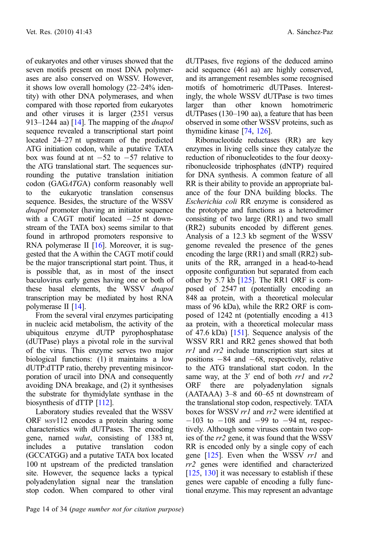of eukaryotes and other viruses showed that the seven motifs present on most DNA polymerases are also conserved on WSSV. However, it shows low overall homology (22–24% identity) with other DNA polymerases, and when compared with those reported from eukaryotes and other viruses it is larger (2351 versus 913–1244 aa)  $[14]$ . The mapping of the *dnapol* sequence revealed a transcriptional start point located 24–27 nt upstream of the predicted ATG initiation codon, while a putative TATA box was found at nt  $-52$  to  $-57$  relative to the ATG translational start. The sequences surrounding the putative translation initiation codon (GAGATGA) conform reasonably well to the eukaryotic translation consensus sequence. Besides, the structure of the WSSV dnapol promoter (having an initiator sequence with a CAGT motif located  $-25$  nt downstream of the TATA box) seems similar to that found in arthropod promoters responsive to RNA polymerase II  $[16]$ . Moreover, it is suggested that the A within the CAGT motif could be the major transcriptional start point. Thus, it is possible that, as in most of the insect baculovirus early genes having one or both of these basal elements, the WSSV dnapol transcription may be mediated by host RNA polymerase II [[14](#page-27-0)].

From the several viral enzymes participating in nucleic acid metabolism, the activity of the ubiquitous enzyme dUTP pyrophosphatase (dUTPase) plays a pivotal role in the survival of the virus. This enzyme serves two major biological functions: (1) it maintains a low dUTP:dTTP ratio, thereby preventing misincorporation of uracil into DNA and consequently avoiding DNA breakage, and (2) it synthesises the substrate for thymidylate synthase in the biosynthesis of dTTP [[112](#page-31-0)].

Laboratory studies revealed that the WSSV ORF wsv112 encodes a protein sharing some characteristics with dUTPases. The encoding gene, named wdut, consisting of 1383 nt, includes a putative translation codon (GCCATGG) and a putative TATA box located 100 nt upstream of the predicted translation site. However, the sequence lacks a typical polyadenylation signal near the translation stop codon. When compared to other viral dUTPases, five regions of the deduced amino acid sequence (461 aa) are highly conserved, and its arrangement resembles some recognised motifs of homotrimeric dUTPases. Interestingly, the whole WSSV dUTPase is two times larger than other known homotrimeric dUTPases (130–190 aa), a feature that has been observed in some other WSSV proteins, such as thymidine kinase [\[74](#page-29-0), [126](#page-31-0)].

Ribonucleotide reductases (RR) are key enzymes in living cells since they catalyze the reduction of ribonucleotides to the four deoxyribonucleoside triphosphates (dNTP) required for DNA synthesis. A common feature of all RR is their ability to provide an appropriate balance of the four DNA building blocks. The Escherichia coli RR enzyme is considered as the prototype and functions as a heterodimer consisting of two large (RR1) and two small (RR2) subunits encoded by different genes. Analysis of a 12.3 kb segment of the WSSV genome revealed the presence of the genes encoding the large (RR1) and small (RR2) subunits of the RR, arranged in a head-to-head opposite configuration but separated from each other by 5.7 kb  $[125]$  $[125]$  $[125]$ . The RR1 ORF is composed of 2547 nt (potentially encoding an 848 aa protein, with a theoretical molecular mass of 96 kDa), while the RR2 ORF is composed of 1242 nt (potentially encoding a 413 aa protein, with a theoretical molecular mass of 47.6 kDa) [[151](#page-32-0)]. Sequence analysis of the WSSV RR1 and RR2 genes showed that both rr1 and rr2 include transcription start sites at positions  $-84$  and  $-68$ , respectively, relative to the ATG translational start codon. In the same way, at the 3' end of both  $rr1$  and  $rr2$ ORF there are polyadenylation signals (AATAAA) 3–8 and 60–65 nt downstream of the translational stop codon, respectively. TATA boxes for WSSV rr1 and rr2 were identified at  $-103$  to  $-108$  and  $-99$  to  $-94$  nt, respectively. Although some viruses contain two copies of the rr2 gene, it was found that the WSSV RR is encoded only by a single copy of each gene [\[125\]](#page-31-0). Even when the WSSV rr1 and rr2 genes were identified and characterized  $[125, 130]$  $[125, 130]$  $[125, 130]$  $[125, 130]$  it was necessary to establish if these genes were capable of encoding a fully functional enzyme. This may represent an advantage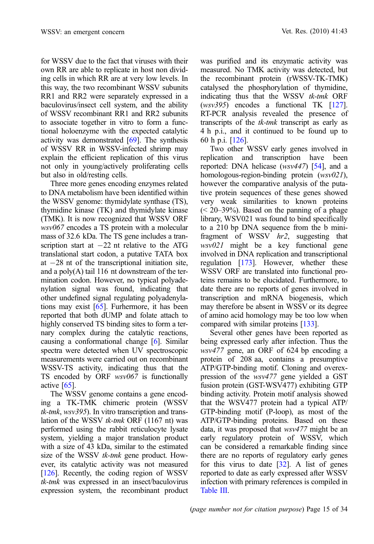for WSSV due to the fact that viruses with their own RR are able to replicate in host non dividing cells in which RR are at very low levels. In this way, the two recombinant WSSV subunits RR1 and RR2 were separately expressed in a baculovirus/insect cell system, and the ability of WSSV recombinant RR1 and RR2 subunits to associate together in vitro to form a functional holoenzyme with the expected catalytic activity was demonstrated [[69](#page-29-0)]. The synthesis of WSSV RR in WSSV-infected shrimp may explain the efficient replication of this virus not only in young/actively proliferating cells but also in old/resting cells.

Three more genes encoding enzymes related to DNA metabolism have been identified within the WSSV genome: thymidylate synthase (TS), thymidine kinase (TK) and thymidylate kinase (TMK). It is now recognized that WSSV ORF wsv067 encodes a TS protein with a molecular mass of 32.6 kDa. The TS gene includes a transcription start at  $-22$  nt relative to the ATG translational start codon, a putative TATA box at  $-28$  nt of the transcriptional initiation site, and a  $poly(A)$  tail 116 nt downstream of the termination codon. However, no typical polyadenylation signal was found, indicating that other undefined signal regulating polyadenylations may exist [[65](#page-29-0)]. Furhermore, it has been reported that both dUMP and folate attach to highly conserved TS binding sites to form a ternary complex during the catalytic reactions, causing a conformational change [\[6](#page-26-0)]. Similar spectra were detected when UV spectroscopic measurements were carried out on recombinant WSSV-TS activity, indicating thus that the TS encoded by ORF  $wsv067$  is functionally active  $[65]$ .

The WSSV genome contains a gene encoding a TK-TMK chimeric protein (WSSV tk-tmk, wsv395). In vitro transcription and translation of the WSSV  $tk$ -tmk ORF (1167 nt) was performed using the rabbit reticulocyte lysate system, yielding a major translation product with a size of 43 kDa, similar to the estimated size of the WSSV tk-tmk gene product. However, its catalytic activity was not measured [\[126\]](#page-31-0). Recently, the coding region of WSSV tk-tmk was expressed in an insect/baculovirus expression system, the recombinant product was purified and its enzymatic activity was measured. No TMK activity was detected, but the recombinant protein (rWSSV-TK-TMK) catalysed the phosphorylation of thymidine, indicating thus that the WSSV tk-tmk ORF  $(wsv395)$  encodes a functional TK  $[127]$ . RT-PCR analysis revealed the presence of transcripts of the tk-tmk transcript as early as 4 h p.i., and it continued to be found up to 60 h p.i. [[126](#page-31-0)].

Two other WSSV early genes involved in replication and transcription have been reported: DNA helicase (wsv447) [[54\]](#page-28-0), and a homologous-region-binding protein (wsv021), however the comparative analysis of the putative protein sequences of these genes showed very weak similarities to known proteins  $( $20-39\%$ )$ . Based on the panning of a phage library, WSV021 was found to bind specifically to a 210 bp DNA sequence from the b minifragment of WSSV hr2, suggesting that wsv021 might be a key functional gene involved in DNA replication and transcriptional regulation [\[173\]](#page-33-0). However, whether these WSSV ORF are translated into functional proteins remains to be elucidated. Furthermore, to date there are no reports of genes involved in transcription and mRNA biogenesis, which may therefore be absent in WSSV or its degree of amino acid homology may be too low when compared with similar proteins [\[133\]](#page-32-0).

Several other genes have been reported as being expressed early after infection. Thus the wsv477 gene, an ORF of 624 bp encoding a protein of 208 aa, contains a presumptive ATP/GTP-binding motif. Cloning and overexpression of the wsv477 gene yielded a GST fusion protein (GST-WSV477) exhibiting GTP binding activity. Protein motif analysis showed that the WSV477 protein had a typical ATP/ GTP-binding motif (P-loop), as most of the ATP/GTP-binding proteins. Based on these data, it was proposed that wsv477 might be an early regulatory protein of WSSV, which can be considered a remarkable finding since there are no reports of regulatory early genes for this virus to date  $[32]$ . A list of genes reported to date as early expressed after WSSV infection with primary references is compiled in [Table III.](#page-15-0)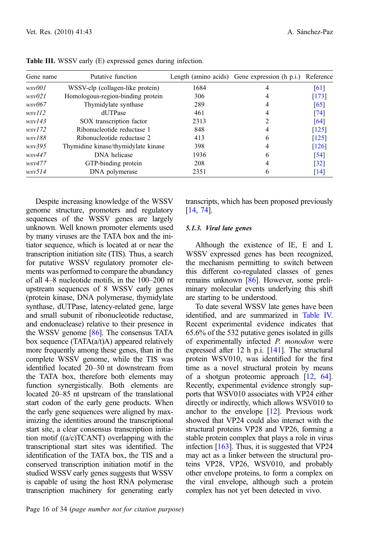| Gene name     | Putative function                   |      | Length (amino acids) Gene expression (h p.i.) Reference |                    |
|---------------|-------------------------------------|------|---------------------------------------------------------|--------------------|
| wsv001        | WSSV-clp (collagen-like protein)    | 1684 | 4                                                       | [61]               |
| wsv021        | Homologous-region-binding protein   | 306  | 4                                                       | $[173]$            |
| wsv067        | Thymidylate synthase                | 289  | 4                                                       | [65]               |
| wsv112        | dUTPase                             | 461  | 4                                                       | [74]               |
| wsv143        | SOX transcription factor            | 2313 |                                                         | [64]               |
| wsv172        | Ribonucleotide reductase 1          | 848  | 4                                                       | [125]              |
| wsvl88        | Ribonucleotide reductase 2          | 413  | 6                                                       | [125]              |
| wsv395        | Thymidine kinase/thymidylate kinase | 398  | 4                                                       | [126]              |
| <i>wsv447</i> | DNA helicase                        | 1936 | 6                                                       | [54]               |
| <i>wsv477</i> | GTP-binding protein                 | 208  | 4                                                       | $\lceil 32 \rceil$ |
| wsv514        | DNA polymerase                      | 2351 | 6                                                       | [14]               |

<span id="page-15-0"></span>Table III. WSSV early (E) expressed genes during infection.

Despite increasing knowledge of the WSSV genome structure, promoters and regulatory sequences of the WSSV genes are largely unknown. Well known promoter elements used by many viruses are the TATA box and the initiator sequence, which is located at or near the transcription initiation site (TIS). Thus, a search for putative WSSV regulatory promoter elements was performed to compare the abundancy of all 4–8 nucleotide motifs, in the 100–200 nt upstream sequences of 8 WSSV early genes (protein kinase, DNA polymerase, thymidylate synthase, dUTPase, latency-related gene, large and small subunit of ribonucleotide reductase, and endonuclease) relative to their presence in the WSSV genome [[86](#page-30-0)]. The consensus TATA box sequence (TATA(a/t)A) appeared relatively more frequently among these genes, than in the complete WSSV genome, while the TIS was identified located 20–30 nt downstream from the TATA box, therefore both elements may function synergistically. Both elements are located 20–85 nt upstream of the translational start codon of the early gene products. When the early gene sequences were aligned by maximizing the identities around the transcriptional start site, a clear consensus transcription initiation motif ((a/c)TCANT) overlapping with the transcriptional start sites was identified. The identification of the TATA box, the TIS and a conserved transcription initiation motif in the studied WSSV early genes suggests that WSSV is capable of using the host RNA polymerase transcription machinery for generating early transcripts, which has been proposed previously [[14](#page-27-0), [74\]](#page-29-0).

#### 5.1.3. Viral late genes

Although the existence of IE, E and L WSSV expressed genes has been recognized, the mechanism permitting to switch between this different co-regulated classes of genes remains unknown [\[86](#page-30-0)]. However, some preliminary molecular events underlying this shift are starting to be understood.

To date several WSSV late genes have been identified, and are summarized in [Table IV.](#page-16-0) Recent experimental evidence indicates that 65.6% of the 532 putative genes isolated in gills of experimentally infected P. monodon were expressed after 12 h p.i. [\[141\]](#page-32-0). The structural protein WSV010, was identified for the first time as a novel structural protein by means of a shotgun proteomic approach [\[12,](#page-26-0) [64](#page-29-0)]. Recently, experimental evidence strongly supports that WSV010 associates with VP24 either directly or indirectly, which allows WSV010 to anchor to the envelope [\[12\]](#page-26-0). Previous work showed that VP24 could also interact with the structural proteins VP28 and VP26, forming a stable protein complex that plays a role in virus infection [\[163\]](#page-33-0). Thus, it is suggested that VP24 may act as a linker between the structural proteins VP28, VP26, WSV010, and probably other envelope proteins, to form a complex on the viral envelope, although such a protein complex has not yet been detected in vivo.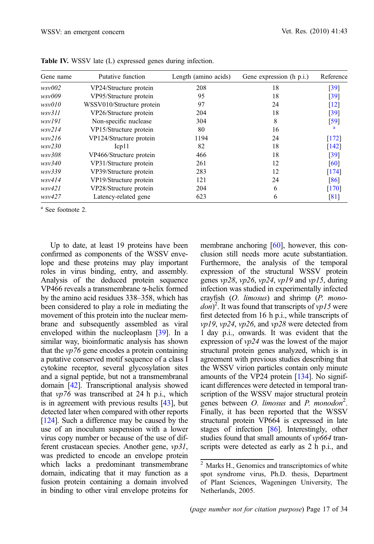| Gene name | Putative function         | Length (amino acids) | Gene expression (h p.i.) | Reference          |
|-----------|---------------------------|----------------------|--------------------------|--------------------|
| wsv002    | VP24/Structure protein    | 208                  | 18                       | [39]               |
| wsv009    | VP95/Structure protein    | 95                   | 18                       | [39]               |
| wsv010    | WSSV010/Structure protein | 97                   | 24                       | $\lceil 12 \rceil$ |
| wsv311    | VP26/Structure protein    | 204                  | 18                       | [39]               |
| wsvl91    | Non-specific nuclease     | 304                  | 8                        | [59]               |
| wsv214    | VP15/Structure protein    | 80                   | 16                       | a                  |
| wsv216    | VP124/Structure protein   | 1194                 | 24                       | $[172]$            |
| wsv230    | Icp11                     | 82                   | 18                       | [142]              |
| wsv308    | VP466/Structure protein   | 466                  | 18                       | [39]               |
| wsv340    | VP31/Structure protein    | 261                  | 12                       | [60]               |
| wsv339    | VP39/Structure protein    | 283                  | 12                       | $[174]$            |
| wsv414    | VP19/Structure protein    | 121                  | 24                       | [86]               |
| wsv421    | VP28/Structure protein    | 204                  | 6                        | $[170]$            |
| wsv427    | Latency-related gene      | 623                  | 6                        | [81]               |

<span id="page-16-0"></span>Table IV. WSSV late (L) expressed genes during infection.

<sup>a</sup> See footnote 2.

Up to date, at least 19 proteins have been confirmed as components of the WSSV envelope and these proteins may play important roles in virus binding, entry, and assembly. Analysis of the deduced protein sequence VP466 reveals a transmembrane a-helix formed by the amino acid residues 338–358, which has been considered to play a role in mediating the movement of this protein into the nuclear membrane and subsequently assembled as viral enveloped within the nucleoplasm [\[39\]](#page-28-0). In a similar way, bioinformatic analysis has shown that the vp76 gene encodes a protein containing a putative conserved motif sequence of a class I cytokine receptor, several glycosylation sites and a signal peptide, but not a transmembranal domain [[42](#page-28-0)]. Transcriptional analysis showed that  $vp76$  was transcribed at 24 h p.i., which is in agreement with previous results [\[43\]](#page-28-0), but detected later when compared with other reports [\[124\]](#page-31-0). Such a difference may be caused by the use of an inoculum suspension with a lower virus copy number or because of the use of different crustacean species. Another gene, vp31, was predicted to encode an envelope protein which lacks a predominant transmembrane domain, indicating that it may function as a fusion protein containing a domain involved in binding to other viral envelope proteins for membrane anchoring [\[60\]](#page-28-0), however, this conclusion still needs more acute substantiation. Furthermore, the analysis of the temporal expression of the structural WSSV protein genes  $vp28$ ,  $vp26$ ,  $vp24$ ,  $vp19$  and  $vp15$ , during infection was studied in experimentally infected crayfish (O. limosus) and shrimp (P. mono- $\frac{d}{v}$ . It was found that transcripts of  $v p 15$  were first detected from 16 h p.i., while transcripts of vp19, vp24, vp26, and vp28 were detected from 1 day p.i., onwards. It was evident that the expression of vp24 was the lowest of the major structural protein genes analyzed, which is in agreement with previous studies describing that the WSSV virion particles contain only minute amounts of the VP24 protein [[134](#page-32-0)]. No significant differences were detected in temporal transcription of the WSSV major structural protein genes between O. limosus and P. monodon<sup>2</sup>. Finally, it has been reported that the WSSV structural protein VP664 is expressed in late stages of infection [\[86\]](#page-30-0). Interestingly, other studies found that small amounts of vp664 transcripts were detected as early as 2 h p.i., and

 $2$  Marks H., Genomics and transcriptomics of white spot syndrome virus, Ph.D. thesis, Department of Plant Sciences, Wageningen University, The Netherlands, 2005.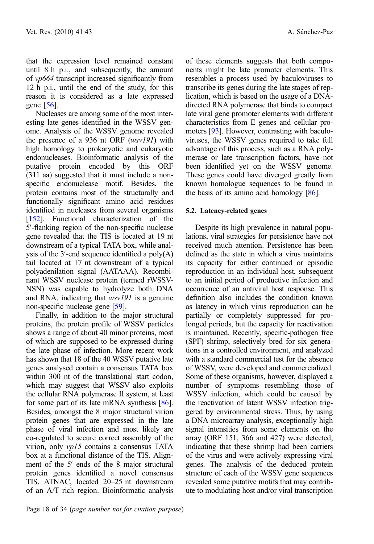that the expression level remained constant until 8 h p.i., and subsequently, the amount of vp664 transcript increased significantly from 12 h p.i., until the end of the study, for this reason it is considered as a late expressed gene [[56\]](#page-28-0).

Nucleases are among some of the most interesting late genes identified in the WSSV genome. Analysis of the WSSV genome revealed the presence of a 936 nt ORF (wsv191) with high homology to prokaryotic and eukaryotic endonucleases. Bioinformatic analysis of the putative protein encoded by this ORF (311 aa) suggested that it must include a nonspecific endonuclease motif. Besides, the protein contains most of the structurally and functionally significant amino acid residues identified in nucleases from several organisms [[152](#page-33-0)]. Functional characterization of the 5'-flanking region of the non-specific nuclease gene revealed that the TIS is located at 19 nt downstream of a typical TATA box, while analysis of the  $3'$ -end sequence identified a poly $(A)$ tail located at 17 nt downstream of a typical polyadenilation signal (AATAAA). Recombinant WSSV nuclease protein (termed rWSSV-NSN) was capable to hydrolyze both DNA and RNA, indicating that wsv191 is a genuine non-specific nuclease gene [\[59](#page-28-0)].

Finally, in addition to the major structural proteins, the protein profile of WSSV particles shows a range of about 40 minor proteins, most of which are supposed to be expressed during the late phase of infection. More recent work has shown that 18 of the 40 WSSV putative late genes analysed contain a consensus TATA box within 300 nt of the translational start codon, which may suggest that WSSV also exploits the cellular RNA polymerase II system, at least for some part of its late mRNA synthesis [[86](#page-30-0)]. Besides, amongst the 8 major structural virion protein genes that are expressed in the late phase of viral infection and most likely are co-regulated to secure correct assembly of the virion, only vp15 contains a consensus TATA box at a functional distance of the TIS. Alignment of the  $5'$  ends of the 8 major structural protein genes identified a novel consensus TIS, ATNAC, located 20–25 nt downstream of an A/T rich region. Bioinformatic analysis of these elements suggests that both components might be late promoter elements. This resembles a process used by baculoviruses to transcribe its genes during the late stages of replication, which is based on the usage of a DNAdirected RNA polymerase that binds to compact late viral gene promoter elements with different characteristics from E genes and cellular promoters [\[93](#page-30-0)]. However, contrasting with baculoviruses, the WSSV genes required to take full advantage of this process, such as a RNA polymerase or late transcription factors, have not been identified yet on the WSSV genome. These genes could have diverged greatly from known homologue sequences to be found in the basis of its amino acid homology  $[86]$  $[86]$ .

# 5.2. Latency-related genes

Despite its high prevalence in natural populations, viral strategies for persistence have not received much attention. Persistence has been defined as the state in which a virus maintains its capacity for either continued or episodic reproduction in an individual host, subsequent to an initial period of productive infection and occurrence of an antiviral host response. This definition also includes the condition known as latency in which virus reproduction can be partially or completely suppressed for prolonged periods, but the capacity for reactivation is maintained. Recently, specific-pathogen free (SPF) shrimp, selectively bred for six generations in a controlled environment, and analyzed with a standard commercial test for the absence of WSSV, were developed and commercialized. Some of these organisms, however, displayed a number of symptoms resembling those of WSSV infection, which could be caused by the reactivation of latent WSSV infection triggered by environmental stress. Thus, by using a DNA microarray analysis, exceptionally high signal intensities from some elements on the array (ORF 151, 366 and 427) were detected, indicating that these shrimp had been carriers of the virus and were actively expressing viral genes. The analysis of the deduced protein structure of each of the WSSV gene sequences revealed some putative motifs that may contribute to modulating host and/or viral transcription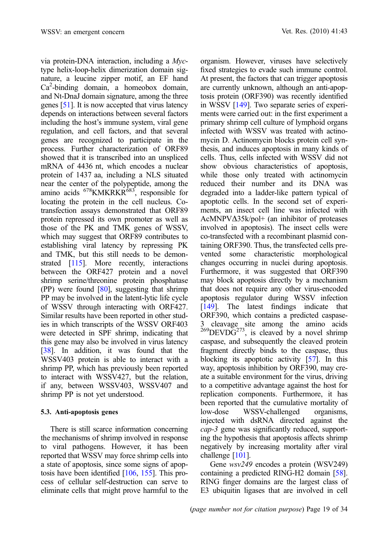via protein-DNA interaction, including a Myctype helix-loop-helix dimerization domain signature, a leucine zipper motif, an EF hand Ca<sup>2</sup>-binding domain, a homeobox domain, and Nt-DnaJ domain signature, among the three genes [[51](#page-28-0)]. It is now accepted that virus latency depends on interactions between several factors including the host's immune system, viral gene regulation, and cell factors, and that several genes are recognized to participate in the process. Further characterization of ORF89 showed that it is transcribed into an unspliced mRNA of 4436 nt, which encodes a nuclear protein of 1437 aa, including a NLS situated near the center of the polypeptide, among the amino acids  $678$ KMKRKR $683$ , responsible for locating the protein in the cell nucleus. Cotransfection assays demonstrated that ORF89 protein repressed its own promoter as well as those of the PK and TMK genes of WSSV, which may suggest that ORF89 contributes to establishing viral latency by repressing PK and TMK, but this still needs to be demonstrated [\[115](#page-31-0)]. More recently, interactions between the ORF427 protein and a novel shrimp serine/threonine protein phosphatase (PP) were found  $[80]$ , suggesting that shrimp PP may be involved in the latent-lytic life cycle of WSSV through interacting with ORF427. Similar results have been reported in other studies in which transcripts of the WSSV ORF403 were detected in SPF shrimp, indicating that this gene may also be involved in virus latency [\[38\]](#page-28-0). In addition, it was found that the WSSV403 protein is able to interact with a shrimp PP, which has previously been reported to interact with WSSV427, but the relation, if any, between WSSV403, WSSV407 and shrimp PP is not yet understood.

# 5.3. Anti-apoptosis genes

There is still scarce information concerning the mechanisms of shrimp involved in response to viral pathogens. However, it has been reported that WSSV may force shrimp cells into a state of apoptosis, since some signs of apoptosis have been identified [\[106,](#page-30-0) [155\]](#page-33-0). This process of cellular self-destruction can serve to eliminate cells that might prove harmful to the

organism. However, viruses have selectively fixed strategies to evade such immune control. At present, the factors that can trigger apoptosis are currently unknown, although an anti-apoptosis protein (ORF390) was recently identified in WSSV [[149](#page-32-0)]. Two separate series of experiments were carried out: in the first experiment a primary shrimp cell culture of lymphoid organs infected with WSSV was treated with actinomycin D. Actinomycin blocks protein cell synthesis, and induces apoptosis in many kinds of cells. Thus, cells infected with WSSV did not show obvious characteristics of apoptosis, while those only treated with actinomycin reduced their number and its DNA was degraded into a ladder-like pattern typical of apoptotic cells. In the second set of experiments, an insect cell line was infected with  $AcMNPV\Delta35k/pol+$  (an inhibitor of proteases involved in apoptosis). The insect cells were co-transfected with a recombinant plasmid containing ORF390. Thus, the transfected cells prevented some characteristic morphological changes occurring in nuclei during apoptosis. Furthermore, it was suggested that ORF390 may block apoptosis directly by a mechanism that does not require any other virus-encoded apoptosis regulator during WSSV infection [\[149](#page-32-0)]. The latest findings indicate that ORF390, which contains a predicted caspase-3 cleavage site among the amino acids  $^{269}$ DEVDG<sup>273</sup>, is cleaved by a novel shrimp caspase, and subsequently the cleaved protein fragment directly binds to the caspase, thus blocking its apoptotic activity  $[57]$  $[57]$  $[57]$ . In this way, apoptosis inhibition by ORF390, may create a suitable environment for the virus, driving to a competitive advantage against the host for replication components. Furthermore, it has been reported that the cumulative mortality of low-dose WSSV-challenged organisms, injected with dsRNA directed against the cap-3 gene was significantly reduced, supporting the hypothesis that apoptosis affects shrimp negatively by increasing mortality after viral challenge [[101](#page-30-0)].

Gene  $wsv249$  encodes a protein (WSV249) containing a predicted RING-H2 domain [[58\]](#page-28-0). RING finger domains are the largest class of E3 ubiquitin ligases that are involved in cell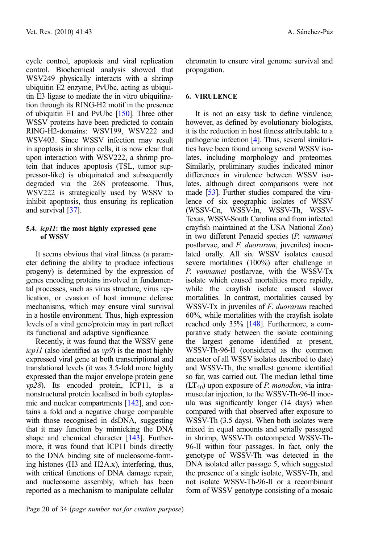cycle control, apoptosis and viral replication control. Biochemical analysis showed that WSV249 physically interacts with a shrimp ubiquitin E2 enzyme, PvUbc, acting as ubiquitin E3 ligase to mediate the in vitro ubiquitination through its RING-H2 motif in the presence of ubiquitin E1 and PvUbc [[150](#page-32-0)]. Three other WSSV proteins have been predicted to contain RING-H2-domains: WSV199, WSV222 and WSV403. Since WSSV infection may result in apoptosis in shrimp cells, it is now clear that upon interaction with WSV222, a shrimp protein that induces apoptosis (TSL, tumor suppressor-like) is ubiquinated and subsequently degraded via the 26S proteasome. Thus, WSV222 is strategically used by WSSV to inhibit apoptosis, thus ensuring its replication and survival [\[37\]](#page-28-0).

# 5.4. icp11: the most highly expressed gene of WSSV

It seems obvious that viral fitness (a parameter defining the ability to produce infectious progeny) is determined by the expression of genes encoding proteins involved in fundamental processes, such as virus structure, virus replication, or evasion of host immune defense mechanisms, which may ensure viral survival in a hostile environment. Thus, high expression levels of a viral gene/protein may in part reflect its functional and adaptive significance.

Recently, it was found that the WSSV gene  $icp11$  (also identified as  $vp9$ ) is the most highly expressed viral gene at both transcriptional and translational levels (it was 3.5-fold more highly expressed than the major envelope protein gene vp28). Its encoded protein, ICP11, is a nonstructural protein localised in both cytoplas-mic and nuclear compartments [\[142\]](#page-32-0), and contains a fold and a negative charge comparable with those recognised in dsDNA, suggesting that it may function by mimicking the DNA shape and chemical character [[143](#page-32-0)]. Furthermore, it was found that ICP11 binds directly to the DNA binding site of nucleosome-forming histones (H3 and H2A.x), interfering, thus, with critical functions of DNA damage repair, and nucleosome assembly, which has been reported as a mechanism to manipulate cellular

Page 20 of 34 (page number not for citation purpose)

chromatin to ensure viral genome survival and propagation.

# 6. VIRULENCE

It is not an easy task to define virulence; however, as defined by evolutionary biologists, it is the reduction in host fitness attributable to a pathogenic infection [\[4](#page-26-0)]. Thus, several similarities have been found among several WSSV isolates, including morphology and proteomes. Similarly, preliminary studies indicated minor differences in virulence between WSSV isolates, although direct comparisons were not made [\[53\]](#page-28-0). Further studies compared the virulence of six geographic isolates of WSSV (WSSV-Cn, WSSV-In, WSSV-Th, WSSV-Texas, WSSV-South Carolina and from infected crayfish maintained at the USA National Zoo) in two different Penaeid species (P. vannamei postlarvae, and F. duorarum, juveniles) inoculated orally. All six WSSV isolates caused severe mortalities (100%) after challenge in P. vannamei postlarvae, with the WSSV-Tx isolate which caused mortalities more rapidly, while the crayfish isolate caused slower mortalities. In contrast, mortalities caused by WSSV-Tx in juveniles of *F. duorarum* reached 60%, while mortalities with the crayfish isolate reached only 35% [\[148\]](#page-32-0). Furthermore, a comparative study between the isolate containing the largest genome identified at present, WSSV-Th-96-II (considered as the common ancestor of all WSSV isolates described to date) and WSSV-Th, the smallest genome identified so far, was carried out. The median lethal time  $(LT_{50})$  upon exposure of *P. monodon*, via intramuscular injection, to the WSSV-Th-96-II inocula was significantly longer (14 days) when compared with that observed after exposure to WSSV-Th (3.5 days). When both isolates were mixed in equal amounts and serially passaged in shrimp, WSSV-Th outcompeted WSSV-Th-96-II within four passages. In fact, only the genotype of WSSV-Th was detected in the DNA isolated after passage 5, which suggested the presence of a single isolate, WSSV-Th, and not isolate WSSV-Th-96-II or a recombinant form of WSSV genotype consisting of a mosaic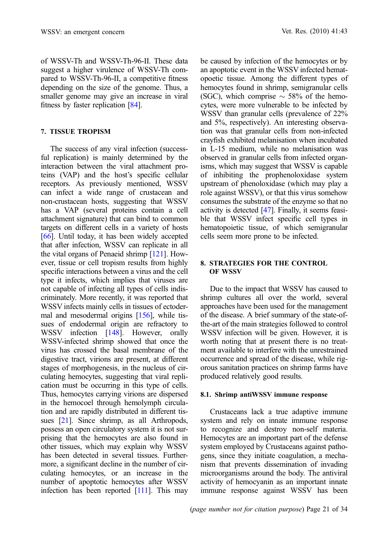of WSSV-Th and WSSV-Th-96-II. These data suggest a higher virulence of WSSV-Th compared to WSSV-Th-96-II, a competitive fitness depending on the size of the genome. Thus, a smaller genome may give an increase in viral

# 7. TISSUE TROPISM

fitness by faster replication [\[84\]](#page-29-0).

The success of any viral infection (successful replication) is mainly determined by the interaction between the viral attachment proteins (VAP) and the host's specific cellular receptors. As previously mentioned, WSSV can infect a wide range of crustacean and non-crustacean hosts, suggesting that WSSV has a VAP (several proteins contain a cell attachment signature) that can bind to common targets on different cells in a variety of hosts [\[66\]](#page-29-0). Until today, it has been widely accepted that after infection, WSSV can replicate in all the vital organs of Penaeid shrimp [\[121\]](#page-31-0). However, tissue or cell tropism results from highly specific interactions between a virus and the cell type it infects, which implies that viruses are not capable of infecting all types of cells indiscriminately. More recently, it was reported that WSSV infects mainly cells in tissues of ectoder-mal and mesodermal origins [\[156\]](#page-33-0), while tissues of endodermal origin are refractory to WSSV infection [\[148\]](#page-32-0). However, orally WSSV-infected shrimp showed that once the virus has crossed the basal membrane of the digestive tract, virions are present, at different stages of morphogenesis, in the nucleus of circulating hemocytes, suggesting that viral replication must be occurring in this type of cells. Thus, hemocytes carrying virions are dispersed in the hemocoel through hemolymph circulation and are rapidly distributed in different tis-sues [[21](#page-27-0)]. Since shrimp, as all Arthropods, possess an open circulatory system it is not surprising that the hemocytes are also found in other tissues, which may explain why WSSV has been detected in several tissues. Furthermore, a significant decline in the number of circulating hemocytes, or an increase in the number of apoptotic hemocytes after WSSV infection has been reported [[111](#page-31-0)]. This may be caused by infection of the hemocytes or by an apoptotic event in the WSSV infected hematopoetic tissue. Among the different types of hemocytes found in shrimp, semigranular cells (SGC), which comprise  $\sim$  58% of the hemocytes, were more vulnerable to be infected by WSSV than granular cells (prevalence of 22% and 5%, respectively). An interesting observation was that granular cells from non-infected crayfish exhibited melanisation when incubated in L-15 medium, while no melanisation was observed in granular cells from infected organisms, which may suggest that WSSV is capable of inhibiting the prophenoloxidase system upstream of phenoloxidase (which may play a role against WSSV), or that this virus somehow consumes the substrate of the enzyme so that no activity is detected [\[47](#page-28-0)]. Finally, it seems feasible that WSSV infect specific cell types in hematopoietic tissue, of which semigranular cells seem more prone to be infected.

# 8. STRATEGIES FOR THE CONTROL OF WSSV

Due to the impact that WSSV has caused to shrimp cultures all over the world, several approaches have been used for the management of the disease. A brief summary of the state-ofthe-art of the main strategies followed to control WSSV infection will be given. However, it is worth noting that at present there is no treatment available to interfere with the unrestrained occurrence and spread of the disease, while rigorous sanitation practices on shrimp farms have produced relatively good results.

# 8.1. Shrimp antiWSSV immune response

Crustaceans lack a true adaptive immune system and rely on innate immune response to recognize and destroy non-self materia. Hemocytes are an important part of the defense system employed by Crustaceans against pathogens, since they initiate coagulation, a mechanism that prevents dissemination of invading microorganisms around the body. The antiviral activity of hemocyanin as an important innate immune response against WSSV has been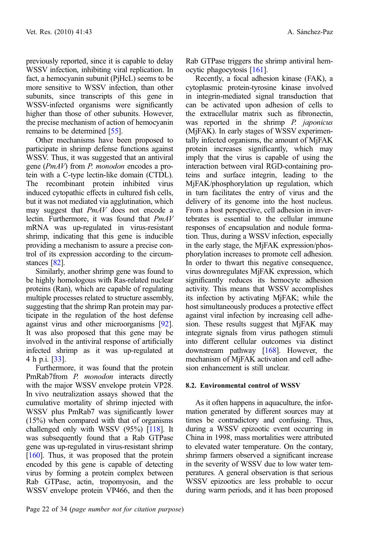previously reported, since it is capable to delay WSSV infection, inhibiting viral replication. In fact, a hemocyanin subunit (PiHcL) seems to be more sensitive to WSSV infection, than other subunits, since transcripts of this gene in WSSV-infected organisms were significantly higher than those of other subunits. However, the precise mechanism of action of hemocyanin remains to be determined [[55](#page-28-0)].

Other mechanisms have been proposed to participate in shrimp defense functions against WSSV. Thus, it was suggested that an antiviral gene (PmAV) from P. monodon encodes a protein with a C-type lectin-like domain (CTDL). The recombinant protein inhibited virus induced cytopathic effects in cultured fish cells, but it was not mediated via agglutination, which may suggest that PmAV does not encode a lectin. Furthermore, it was found that  $PmAV$ mRNA was up-regulated in virus-resistant shrimp, indicating that this gene is inducible providing a mechanism to assure a precise control of its expression according to the circumstances [[82](#page-29-0)].

Similarly, another shrimp gene was found to be highly homologous with Ras-related nuclear proteins (Ran), which are capable of regulating multiple processes related to structure assembly, suggesting that the shrimp Ran protein may participate in the regulation of the host defense against virus and other microorganisms [[92](#page-30-0)]. It was also proposed that this gene may be involved in the antiviral response of artificially infected shrimp as it was up-regulated at 4 h p.i. [\[33](#page-27-0)].

Furthermore, it was found that the protein PmRab7from P. monodon interacts directly with the major WSSV envelope protein VP28. In vivo neutralization assays showed that the cumulative mortality of shrimp injected with WSSV plus PmRab7 was significantly lower (15%) when compared with that of organisms challenged only with WSSV (95%) [[118\]](#page-31-0). It was subsequently found that a Rab GTPase gene was up-regulated in virus-resistant shrimp [[160](#page-33-0)]. Thus, it was proposed that the protein encoded by this gene is capable of detecting virus by forming a protein complex between Rab GTPase, actin, tropomyosin, and the WSSV envelope protein VP466, and then the Rab GTPase triggers the shrimp antiviral hemocytic phagocytosis [\[161](#page-33-0)].

Recently, a focal adhesion kinase (FAK), a cytoplasmic protein-tyrosine kinase involved in integrin-mediated signal transduction that can be activated upon adhesion of cells to the extracellular matrix such as fibronectin, was reported in the shrimp P. japonicus (MjFAK). In early stages of WSSV experimentally infected organisms, the amount of MjFAK protein increases significantly, which may imply that the virus is capable of using the interaction between viral RGD-containing proteins and surface integrin, leading to the MjFAK/phosphorylation up regulation, which in turn facilitates the entry of virus and the delivery of its genome into the host nucleus. From a host perspective, cell adhesion in invertebrates is essential to the cellular immune responses of encapsulation and nodule formation. Thus, during a WSSV infection, especially in the early stage, the MjFAK expression/phosphorylation increases to promote cell adhesion. In order to thwart this negative consequence, virus downregulates MjFAK expression, which significantly reduces its hemocyte adhesion activity. This means that WSSV accomplishes its infection by activating MjFAK; while the host simultaneously produces a protective effect against viral infection by increasing cell adhesion. These results suggest that MjFAK may integrate signals from virus pathogen stimuli into different cellular outcomes via distinct downstream pathway [\[168\]](#page-33-0). However, the mechanism of MjFAK activation and cell adhesion enhancement is still unclear.

# 8.2. Environmental control of WSSV

As it often happens in aquaculture, the information generated by different sources may at times be contradictory and confusing. Thus, during a WSSV epizootic event occurring in China in 1998, mass mortalities were attributed to elevated water temperature. On the contary, shrimp farmers observed a significant increase in the severity of WSSV due to low water temperatures. A general observation is that serious WSSV epizootics are less probable to occur during warm periods, and it has been proposed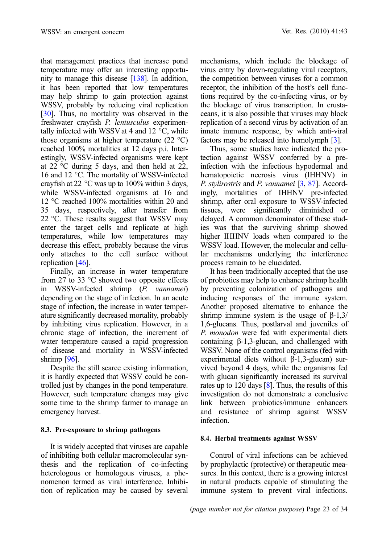that management practices that increase pond temperature may offer an interesting opportunity to manage this disease [\[138\]](#page-32-0). In addition, it has been reported that low temperatures may help shrimp to gain protection against WSSV, probably by reducing viral replication [\[30\]](#page-27-0). Thus, no mortality was observed in the freshwater crayfish P. leniusculus experimentally infected with WSSV at 4 and 12  $\degree$ C, while those organisms at higher temperature  $(22 \degree C)$ reached 100% mortalities at 12 days p.i. Interestingly, WSSV-infected organisms were kept at  $22^{\circ}$ C during 5 days, and then held at 22, 16 and 12 °C. The mortality of WSSV-infected crayfish at 22  $\degree$ C was up to 100% within 3 days, while WSSV-infected organisms at 16 and 12 °C reached 100% mortalities within 20 and 35 days, respectively, after transfer from 22  $\degree$ C. These results suggest that WSSV may enter the target cells and replicate at high temperatures, while low temperatures may decrease this effect, probably because the virus only attaches to the cell surface without replication [\[46\]](#page-28-0).

Finally, an increase in water temperature from 27 to 33  $\degree$ C showed two opposite effects in WSSV-infected shrimp (P. vannamei) depending on the stage of infection. In an acute stage of infection, the increase in water temperature significantly decreased mortality, probably by inhibiting virus replication. However, in a chronic stage of infection, the increment of water temperature caused a rapid progression of disease and mortality in WSSV-infected shrimp  $[96]$ .

Despite the still scarce existing information, it is hardly expected that WSSV could be controlled just by changes in the pond temperature. However, such temperature changes may give some time to the shrimp farmer to manage an emergency harvest.

# 8.3. Pre-exposure to shrimp pathogens

It is widely accepted that viruses are capable of inhibiting both cellular macromolecular synthesis and the replication of co-infecting heterologous or homologous viruses, a phenomenon termed as viral interference. Inhibition of replication may be caused by several

mechanisms, which include the blockage of virus entry by down-regulating viral receptors, the competition between viruses for a common receptor, the inhibition of the host's cell functions required by the co-infecting virus, or by the blockage of virus transcription. In crustaceans, it is also possible that viruses may block replication of a second virus by activation of an innate immune response, by which anti-viral factors may be released into hemolymph [\[3](#page-26-0)].

Thus, some studies have indicated the protection against WSSV conferred by a preinfection with the infectious hypodermal and hematopoietic necrosis virus (IHHNV) in P. stylirostris and P. vannamei [\[3](#page-26-0), [87](#page-30-0)]. Accordingly, mortalities of IHHNV pre-infected shrimp, after oral exposure to WSSV-infected tissues, were significantly diminished or delayed. A common denominator of these studies was that the surviving shrimp showed higher IHHNV loads when compared to the WSSV load. However, the molecular and cellular mechanisms underlying the interference process remain to be elucidated.

It has been traditionally accepted that the use of probiotics may help to enhance shrimp health by preventing colonization of pathogens and inducing responses of the immune system. Another proposed alternative to enhance the shrimp immune system is the usage of  $\beta$ -1,3/ 1,6-glucans. Thus, postlarval and juveniles of P. monodon were fed with experimental diets containing  $\beta$ -1,3-glucan, and challenged with WSSV. None of the control organisms (fed with experimental diets without  $\beta$ -1,3-glucan) survived beyond 4 days, while the organisms fed with glucan significantly increased its survival rates up to 120 days  $[8]$ . Thus, the results of this investigation do not demonstrate a conclusive link between probiotics/immune enhancers and resistance of shrimp against WSSV infection.

# 8.4. Herbal treatments against WSSV

Control of viral infections can be achieved by prophylactic (protective) or therapeutic measures. In this context, there is a growing interest in natural products capable of stimulating the immune system to prevent viral infections.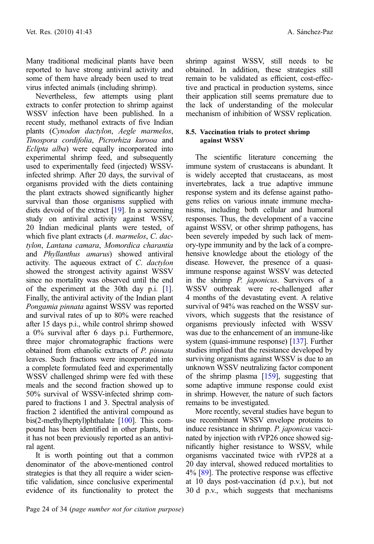Many traditional medicinal plants have been reported to have strong antiviral activity and some of them have already been used to treat virus infected animals (including shrimp).

Nevertheless, few attempts using plant extracts to confer protection to shrimp against WSSV infection have been published. In a recent study, methanol extracts of five Indian plants (Cynodon dactylon, Aegle marmelos, Tinospora cordifolia, Picrorhiza kurooa and Eclipta alba) were equally incorporated into experimental shrimp feed, and subsequently used to experimentally feed (injected) WSSVinfected shrimp. After 20 days, the survival of organisms provided with the diets containing the plant extracts showed significantly higher survival than those organisms supplied with diets devoid of the extract [\[19](#page-27-0)]. In a screening study on antiviral activity against WSSV, 20 Indian medicinal plants were tested, of which five plant extracts (A. marmelos, C. dactylon, Lantana camara, Momordica charantia and Phyllanthus amarus) showed antiviral activity. The aqueous extract of C. *dactylon* showed the strongest activity against WSSV since no mortality was observed until the end of the experiment at the 30th day p.i. [\[1](#page-26-0)]. Finally, the antiviral activity of the Indian plant Pongamia pinnata against WSSV was reported and survival rates of up to 80% were reached after 15 days p.i., while control shrimp showed a 0% survival after 6 days p.i. Furthermore, three major chromatographic fractions were obtained from ethanolic extracts of P. pinnata leaves. Such fractions were incorporated into a complete formulated feed and experimentally WSSV challenged shrimp were fed with these meals and the second fraction showed up to 50% survival of WSSV-infected shrimp compared to fractions 1 and 3. Spectral analysis of fraction 2 identified the antiviral compound as bis(2-methylheptyl)phthalate [\[100](#page-30-0)]. This compound has been identified in other plants, but it has not been previously reported as an antiviral agent.

It is worth pointing out that a common denominator of the above-mentioned control strategies is that they all require a wider scientific validation, since conclusive experimental evidence of its functionality to protect the shrimp against WSSV, still needs to be obtained. In addition, these strategies still remain to be validated as efficient, cost-effective and practical in production systems, since their application still seems premature due to the lack of understanding of the molecular mechanism of inhibition of WSSV replication.

# 8.5. Vaccination trials to protect shrimp against WSSV

The scientific literature concerning the immune system of crustaceans is abundant. It is widely accepted that crustaceans, as most invertebrates, lack a true adaptive immune response system and its defense against pathogens relies on various innate immune mechanisms, including both cellular and humoral responses. Thus, the development of a vaccine against WSSV, or other shrimp pathogens, has been severely impeded by such lack of memory-type immunity and by the lack of a comprehensive knowledge about the etiology of the disease. However, the presence of a quasiimmune response against WSSV was detected in the shrimp P. japonicus. Survivors of a WSSV outbreak were re-challenged after 4 months of the devastating event. A relative survival of 94% was reached on the WSSV survivors, which suggests that the resistance of organisms previously infected with WSSV was due to the enhancement of an immune-like system (quasi-immune response) [[137](#page-32-0)]. Further studies implied that the resistance developed by surviving organisms against WSSV is due to an unknown WSSV neutralizing factor component of the shrimp plasma [[159](#page-33-0)], suggesting that some adaptive immune response could exist in shrimp. However, the nature of such factors remains to be investigated.

More recently, several studies have begun to use recombinant WSSV envelope proteins to induce resistance in shrimp. P. japonicus vaccinated by injection with rVP26 once showed significantly higher resistance to WSSV, while organisms vaccinated twice with rVP28 at a 20 day interval, showed reduced mortalities to 4% [[89](#page-30-0)]. The protective response was effective at 10 days post-vaccination (d p.v.), but not 30 d p.v., which suggests that mechanisms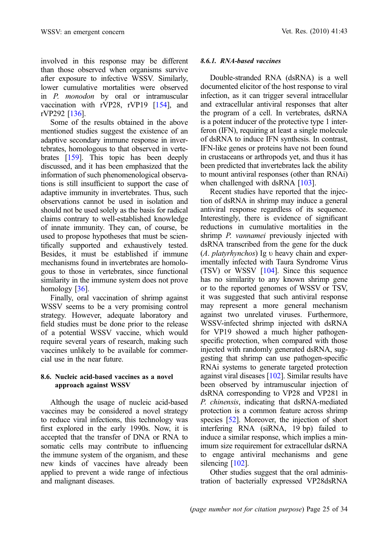involved in this response may be different than those observed when organisms survive after exposure to infective WSSV. Similarly, lower cumulative mortalities were observed in P. monodon by oral or intramuscular vaccination with rVP28, rVP19 [[154](#page-33-0)], and rVP292 [\[136\]](#page-32-0).

Some of the results obtained in the above mentioned studies suggest the existence of an adaptive secondary immune response in invertebrates, homologous to that observed in vertebrates [\[159\]](#page-33-0). This topic has been deeply discussed, and it has been emphasized that the information of such phenomenological observations is still insufficient to support the case of adaptive immunity in invertebrates. Thus, such observations cannot be used in isolation and should not be used solely as the basis for radical claims contrary to well-established knowledge of innate immunity. They can, of course, be used to propose hypotheses that must be scientifically supported and exhaustively tested. Besides, it must be established if immune mechanisms found in invertebrates are homologous to those in vertebrates, since functional similarity in the immune system does not prove homology [[36](#page-27-0)].

Finally, oral vaccination of shrimp against WSSV seems to be a very promising control strategy. However, adequate laboratory and field studies must be done prior to the release of a potential WSSV vaccine, which would require several years of research, making such vaccines unlikely to be available for commercial use in the near future.

# 8.6. Nucleic acid-based vaccines as a novel approach against WSSV

Although the usage of nucleic acid-based vaccines may be considered a novel strategy to reduce viral infections, this technology was first explored in the early 1990s. Now, it is accepted that the transfer of DNA or RNA to somatic cells may contribute to influencing the immune system of the organism, and these new kinds of vaccines have already been applied to prevent a wide range of infectious and malignant diseases.

# 8.6.1. RNA-based vaccines

Double-stranded RNA (dsRNA) is a well documented elicitor of the host response to viral infection, as it can trigger several intracellular and extracellular antiviral responses that alter the program of a cell. In vertebrates, dsRNA is a potent inducer of the protective type 1 interferon (IFN), requiring at least a single molecule of dsRNA to induce IFN synthesis. In contrast, IFN-like genes or proteins have not been found in crustaceans or arthropods yet, and thus it has been predicted that invertebrates lack the ability to mount antiviral responses (other than RNAi) when challenged with dsRNA [[103](#page-30-0)].

Recent studies have reported that the injection of dsRNA in shrimp may induce a general antiviral response regardless of its sequence. Interestingly, there is evidence of significant reductions in cumulative mortalities in the shrimp P. vannamei previously injected with dsRNA transcribed from the gene for the duck  $(A. \text{ }\mathit{platvrhvnchos})$  Ig v heavy chain and experimentally infected with Taura Syndrome Virus (TSV) or WSSV [\[104\]](#page-30-0). Since this sequence has no similarity to any known shrimp gene or to the reported genomes of WSSV or TSV, it was suggested that such antiviral response may represent a more general mechanism against two unrelated viruses. Furthermore, WSSV-infected shrimp injected with dsRNA for VP19 showed a much higher pathogenspecific protection, when compared with those injected with randomly generated dsRNA, suggesting that shrimp can use pathogen-specific RNAi systems to generate targeted protection against viral diseases [[102](#page-30-0)]. Similar results have been observed by intramuscular injection of dsRNA corresponding to VP28 and VP281 in P. chinensis, indicating that dsRNA-mediated protection is a common feature across shrimp species [[52\]](#page-28-0). Moreover, the injection of short interfering RNA (siRNA, 19 bp) failed to induce a similar response, which implies a minimum size requirement for extracellular dsRNA to engage antiviral mechanisms and gene silencing [[102](#page-30-0)].

Other studies suggest that the oral administration of bacterially expressed VP28dsRNA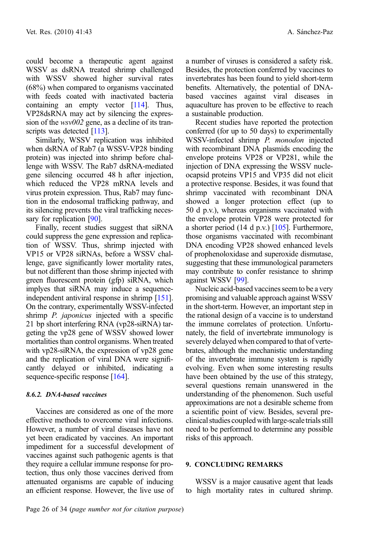could become a therapeutic agent against WSSV as dsRNA treated shrimp challenged with WSSV showed higher survival rates (68%) when compared to organisms vaccinated with feeds coated with inactivated bacteria containing an empty vector [\[114](#page-31-0)]. Thus, VP28dsRNA may act by silencing the expression of the  $wsv002$  gene, as a decline of its tran-scripts was detected [\[113](#page-31-0)].

Similarly, WSSV replication was inhibited when dsRNA of Rab7 (a WSSV-VP28 binding protein) was injected into shrimp before challenge with WSSV. The Rab7 dsRNA-mediated gene silencing occurred 48 h after injection, which reduced the VP28 mRNA levels and virus protein expression. Thus, Rab7 may function in the endosomal trafficking pathway, and its silencing prevents the viral trafficking neces-sary for replication [\[90\]](#page-30-0).

Finally, recent studies suggest that siRNA could suppress the gene expression and replication of WSSV. Thus, shrimp injected with VP15 or VP28 siRNAs, before a WSSV challenge, gave significantly lower mortality rates, but not different than those shrimp injected with green fluorescent protein (gfp) siRNA, which implyes that siRNA may induce a sequenceindependent antiviral response in shrimp [[151](#page-32-0)]. On the contrary, experimentally WSSV-infected shrimp *P. japonicus* injected with a specific 21 bp short interfering RNA (vp28-siRNA) targeting the vp28 gene of WSSV showed lower mortalities than control organisms. When treated with vp28-siRNA, the expression of vp28 gene and the replication of viral DNA were significantly delayed or inhibited, indicating a sequence-specific response [[164](#page-33-0)].

# 8.6.2. DNA-based vaccines

Vaccines are considered as one of the more effective methods to overcome viral infections. However, a number of viral diseases have not yet been eradicated by vaccines. An important impediment for a successful development of vaccines against such pathogenic agents is that they require a cellular immune response for protection, thus only those vaccines derived from attenuated organisms are capable of inducing an efficient response. However, the live use of

Page 26 of 34 (page number not for citation purpose)

a number of viruses is considered a safety risk. Besides, the protection conferred by vaccines to invertebrates has been found to yield short-term benefits. Alternatively, the potential of DNAbased vaccines against viral diseases in aquaculture has proven to be effective to reach a sustainable production.

Recent studies have reported the protection conferred (for up to 50 days) to experimentally WSSV-infected shrimp P. monodon injected with recombinant DNA plasmids encoding the envelope proteins VP28 or VP281, while the injection of DNA expressing the WSSV nucleocapsid proteins VP15 and VP35 did not elicit a protective response. Besides, it was found that shrimp vaccinated with recombinant DNA showed a longer protection effect (up to 50 d p.v.), whereas organisms vaccinated with the envelope protein VP28 were protected for a shorter period (14 d p.v.) [\[105](#page-30-0)]. Furthermore, those organisms vaccinated with recombinant DNA encoding VP28 showed enhanced levels of prophenoloxidase and superoxide dismutase, suggesting that these immunological parameters may contribute to confer resistance to shrimp against WSSV [\[99\]](#page-30-0).

Nucleic acid-based vaccines seem to be a very promising and valuable approach against WSSV in the short-term. However, an important step in the rational design of a vaccine is to understand the immune correlates of protection. Unfortunately, the field of invertebrate immunology is severely delayed when compared to that of vertebrates, although the mechanistic understanding of the invertebrate immune system is rapidly evolving. Even when some interesting results have been obtained by the use of this strategy, several questions remain unanswered in the understanding of the phenomenon. Such useful approximations are not a desirable scheme from a scientific point of view. Besides, several preclinical studies coupled with large-scaletrials still need to be performed to determine any possible risks of this approach.

# 9. CONCLUDING REMARKS

WSSV is a major causative agent that leads to high mortality rates in cultured shrimp.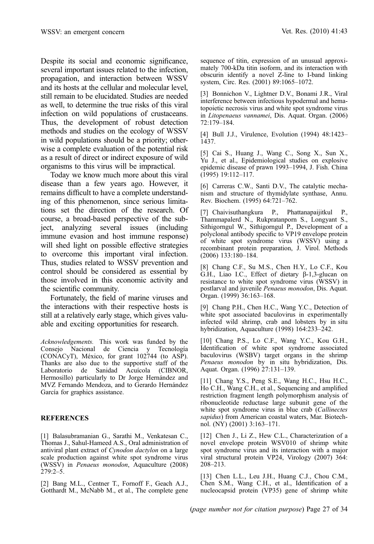<span id="page-26-0"></span>Despite its social and economic significance, several important issues related to the infection, propagation, and interaction between WSSV and its hosts at the cellular and molecular level, still remain to be elucidated. Studies are needed as well, to determine the true risks of this viral infection on wild populations of crustaceans. Thus, the development of robust detection methods and studies on the ecology of WSSV in wild populations should be a priority; otherwise a complete evaluation of the potential risk as a result of direct or indirect exposure of wild organisms to this virus will be impractical.

Today we know much more about this viral disease than a few years ago. However, it remains difficult to have a complete understanding of this phenomenon, since serious limitations set the direction of the research. Of course, a broad-based perspective of the subject, analyzing several issues (including immune evasion and host immune response) will shed light on possible effective strategies to overcome this important viral infection. Thus, studies related to WSSV prevention and control should be considered as essential by those involved in this economic activity and the scientific community.

Fortunately, the field of marine viruses and the interactions with their respective hosts is still at a relatively early stage, which gives valuable and exciting opportunities for research.

Acknowledgements. This work was funded by the Consejo Nacional de Ciencia y Tecnología (CONACyT), México, for grant 102744 (to ASP). Thanks are also due to the supportive staff of the Laboratorio de Sanidad Acuícola (CIBNOR, Hermosillo) particularly to Dr Jorge Hernández and MVZ Fernando Mendoza, and to Gerardo Hernández García for graphics assistance.

# **REFERENCES**

[1] Balasubramanian G., Sarathi M., Venkatesan C., Thomas J., Sahul-Hameed A.S., Oral administration of antiviral plant extract of Cynodon dactylon on a large scale production against white spot syndrome virus (WSSV) in Penaeus monodon, Aquaculture (2008) 279:2–5.

[2] Bang M.L., Centner T., Fornoff F., Geach A.J., Gotthardt M., McNabb M., et al., The complete gene

sequence of titin, expression of an unusual approximately 700-kDa titin isoform, and its interaction with obscurin identify a novel Z-line to I-band linking system, Circ. Res. (2001) 89:1065–1072.

[3] Bonnichon V., Lightner D.V., Bonami J.R., Viral interference between infectious hypodermal and hematopoietic necrosis virus and white spot syndrome virus in Litopenaeus vannamei, Dis. Aquat. Organ. (2006) 72:179–184.

[4] Bull J.J., Virulence, Evolution (1994) 48:1423– 1437.

[5] Cai S., Huang J., Wang C., Song X., Sun X., Yu J., et al., Epidemiological studies on explosive epidemic disease of prawn 1993–1994, J. Fish. China (1995) 19:112–117.

[6] Carreras C.W., Santi D.V., The catalytic mechanism and structure of thymidylate synthase, Annu. Rev. Biochem. (1995) 64:721–762.

[7] Chaivisuthangkura P., Phattanapaijitkul P., Thammapalerd N., Rukpratanporn S., Longyant S., Sithigorngul W., Sithigorngul P., Development of a polyclonal antibody specific to VP19 envelope protein of white spot syndrome virus (WSSV) using a recombinant protein preparation, J. Virol. Methods (2006) 133:180–184.

[8] Chang C.F., Su M.S., Chen H.Y., Lo C.F., Kou G.H., Liao I.C., Effect of dietary  $\beta$ -1,3-glucan on resistance to white spot syndrome virus (WSSV) in postlarval and juvenile Penaeus monodon, Dis. Aquat. Organ. (1999) 36:163–168.

[9] Chang P.H., Chen H.C., Wang Y.C., Detection of white spot associated baculovirus in experimentally infected wild shrimp, crab and lobsters by in situ hybridization, Aquaculture (1998) 164:233–242.

[10] Chang P.S., Lo C.F., Wang Y.C., Kou G.H., Identification of white spot syndrome associated baculovirus (WSBV) target organs in the shrimp Penaeus monodon by in situ hybridization, Dis. Aquat. Organ. (1996) 27:131–139.

[11] Chang Y.S., Peng S.E., Wang H.C., Hsu H.C., Ho C.H., Wang C.H., et al., Sequencing and amplified restriction fragment length polymorphism analysis of ribonucleotide reductase large subunit gene of the white spot syndrome virus in blue crab (Callinectes sapidus) from American coastal waters, Mar. Biotechnol. (NY) (2001) 3:163–171.

[12] Chen J., Li Z., Hew C.L., Characterization of a novel envelope protein WSV010 of shrimp white spot syndrome virus and its interaction with a major viral structural protein VP24, Virology (2007) 364: 208–213.

[13] Chen L.L., Leu J.H., Huang C.J., Chou C.M., Chen S.M., Wang C.H., et al., Identification of a nucleocapsid protein (VP35) gene of shrimp white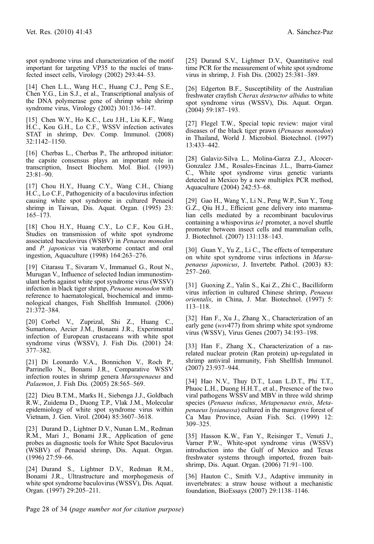<span id="page-27-0"></span>spot syndrome virus and characterization of the motif important for targeting VP35 to the nuclei of transfected insect cells, Virology (2002) 293:44–53.

[14] Chen L.L., Wang H.C., Huang C.J., Peng S.E., Chen Y.G., Lin S.J., et al., Transcriptional analysis of the DNA polymerase gene of shrimp white shrimp syndrome virus, Virology (2002) 301:136–147.

[15] Chen W.Y., Ho K.C., Leu J.H., Liu K.F., Wang H.C., Kou G.H., Lo C.F., WSSV infection activates STAT in shrimp, Dev. Comp. Immunol. (2008) 32:1142–1150.

[16] Cherbas L., Cherbas P., The arthropod initiator: the capsite consensus plays an important role in transcription, Insect Biochem. Mol. Biol. (1993)  $23:81-\overline{9}0.$ 

[17] Chou H.Y., Huang C.Y., Wang C.H., Chiang H.C., Lo C.F., Pathogenicity of a baculovirus infection causing white spot syndrome in cultured Penaeid shrimp in Taiwan, Dis. Aquat. Organ. (1995) 23: 165–173.

[18] Chou H.Y., Huang C.Y., Lo C.F., Kou G.H., Studies on transmission of white spot syndrome associated baculovirus (WSBV) in Penaeus monodon and P. japonicus via waterborne contact and oral ingestion, Aquaculture (1998) 164:263–276.

[19] Citarasu T., Sivaram V., Immanuel G., Rout N., Murugan V., Influence of selected Indian immunostimulant herbs against white spot syndrome virus (WSSV) infection in black tiger shrimp, Penaeus monodon with reference to haematological, biochemical and immunological changes, Fish Shellfish Immunol. (2006) 21:372–384.

[20] Corbel V., Zuprizal, Shi Z., Huang C., Sumartono, Arcier J.M., Bonami J.R., Experimental infection of European crustaceans with white spot syndrome virus (WSSV), J. Fish Dis. (2001) 24: 377–382.

[21] Di Leonardo V.A., Bonnichon V., Roch P. Parrinello N., Bonami J.R., Comparative WSSV infection routes in shrimp genera Marsupenaeus and Palaemon, J. Fish Dis. (2005) 28:565–569.

[22] Dieu B.T.M., Marks H., Siebenga J.J., Goldbach R.W., Zuidema D., Duong T.P., Vlak J.M., Molecular epidemiology of white spot syndrome virus within Vietnam, J. Gen. Virol. (2004) 85:3607–3618.

[23] Durand D., Lightner D.V., Nunan L.M., Redman R.M., Mari J., Bonami J.R., Application of gene probes as diagnostic tools for White Spot Baculovirus (WSBV) of Penaeid shrimp, Dis. Aquat. Organ. (1996) 27:59–66.

[24] Durand S., Lightner D.V., Redman R.M., Bonami J.R., Ultrastructure and morphogenesis of white spot syndrome baculovirus (WSSV), Dis. Aquat. Organ. (1997) 29:205–211.

[25] Durand S.V., Lightner D.V., Quantitative real time PCR for the measurement of white spot syndrome virus in shrimp, J. Fish Dis. (2002) 25:381–389.

[26] Edgerton B.F., Susceptibility of the Australian freshwater crayfish Cherax destructor albidus to white spot syndrome virus (WSSV), Dis. Aquat. Organ.  $(2004)$  59:187–193.

[27] Flegel T.W., Special topic review: major viral diseases of the black tiger prawn (Penaeus monodon) in Thailand, World J. Microbiol. Biotechnol. (1997) 13:433–442.

[28] Galaviz-Silva L., Molina-Garza Z.J., Alcocer-Gonzalez J.M., Rosales-Encinas J.L., Ibarra-Gamez C., White spot syndrome virus genetic variants detected in Mexico by a new multiplex PCR method, Aquaculture (2004) 242:53–68.

[29] Gao H., Wang Y., Li N., Peng W.P., Sun Y., Tong G.Z., Qiu H.J., Efficient gene delivery into mammalian cells mediated by a recombinant baculovirus containing a whispovirus *iel* promoter, a novel shuttle promoter between insect cells and mammalian cells, J. Biotechnol. (2007) 131:138–143.

[30] Guan Y., Yu Z., Li C., The effects of temperature on white spot syndrome virus infections in Marsupenaeus japonicus, J. Invertebr. Pathol. (2003) 83:  $257 - 260.$ 

[31] Guoxing Z., Yalin S., Kai Z., Zhi C., Bacilliform virus infection in cultured Chinese shrimp, Penaeus orientalis, in China, J. Mar. Biotechnol. (1997) 5: 113–118.

[32] Han F., Xu J., Zhang X., Characterization of an early gene (wsv477) from shrimp white spot syndrome virus (WSSV), Virus Genes (2007) 34:193–198.

[33] Han F., Zhang X., Characterization of a rasrelated nuclear protein (Ran protein) up-regulated in shrimp antiviral immunity, Fish Shellfish Immunol. (2007) 23:937–944.

[34] Hao N.V., Thuy D.T., Loan L.D.T., Phi T.T., Phuoc L.H., Duong H.H.T., et al., Presence of the two viral pathogens WSSV and MBV in three wild shrimp species (Penaeus indicus, Metapenaeus ensis, Metapenaeus lysianassa) cultured in the mangrove forest of Ca Mau Province, Asian Fish. Sci. (1999) 12: 309–325.

[35] Hasson K.W., Fan Y., Reisinger T., Venuti J., Varner P.W., White-spot syndrome virus (WSSV) introduction into the Gulf of Mexico and Texas freshwater systems through imported, frozen baitshrimp, Dis. Aquat. Organ. (2006) 71:91–100.

[36] Hauton C., Smith V.J., Adaptive immunity in invertebrates: a straw house without a mechanistic foundation, BioEssays (2007) 29:1138–1146.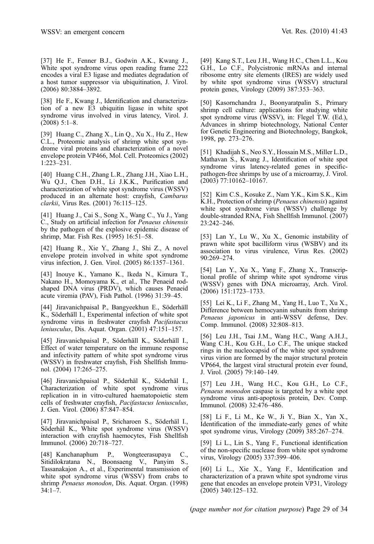<span id="page-28-0"></span>[37] He F., Fenner B.J., Godwin A.K., Kwang J., White spot syndrome virus open reading frame 222 encodes a viral E3 ligase and mediates degradation of a host tumor suppressor via ubiquitination, J. Virol. (2006) 80:3884–3892.

[38] He F., Kwang J., Identification and characterization of a new E3 ubiquitin ligase in white spot syndrome virus involved in virus latency, Virol. J. (2008) 5:1–8.

[39] Huang C., Zhang X., Lin Q., Xu X., Hu Z., Hew C.L., Proteomic analysis of shrimp white spot syndrome viral proteins and characterization of a novel envelope protein VP466, Mol. Cell. Proteomics (2002) 1:223–231.

[40] Huang C.H., Zhang L.R., Zhang J.H., Xiao L.H., Wu Q.J., Chen D.H., Li J.K.K., Purification and characterization of white spot syndrome virus (WSSV) produced in an alternate host: crayfish, Cambarus clarkii, Virus Res. (2001) 76:115–125.

[41] Huang J., Cai S., Song X., Wang C., Yu J., Yang C., Study on artificial infection for Penaeus chinensis by the pathogen of the explosive epidemic disease of shrimp, Mar. Fish Res. (1995) 16:51–58.

[42] Huang R., Xie Y., Zhang J., Shi Z., A novel envelope protein involved in white spot syndrome virus infection, J. Gen. Virol. (2005) 86:1357–1361.

[43] Inouye K., Yamano K., Ikeda N., Kimura T., Nakano H., Momoyama K., et al., The Penaeid rodshaped DNA virus (PRDV), which causes Penaeid acute viremia (PAV), Fish Pathol. (1996) 31:39–45.

[44] Jiravanichpaisal P., Bangyeekhun E., Söderhäll K., Söderhäll I., Experimental infection of white spot syndrome virus in freshwater crayfish Pacifastacus leniusculus, Dis. Aquat. Organ. (2001) 47:151–157.

[45] Jiravanichpaisal P., Söderhäll K., Söderhäll I., Effect of water temperature on the immune response and infectivity pattern of white spot syndrome virus (WSSV) in freshwater crayfish, Fish Shellfish Immunol. (2004) 17:265–275.

[46] Jiravanichpaisal P., Söderhäl K., Söderhäl I., Characterization of white spot syndrome virus replication in in vitro-cultured haematopoietic stem cells of freshwater crayfish, Pacifastacus leniusculus, J. Gen. Virol. (2006) 87:847–854.

[47] Jiravanichpaisal P., Sricharoen S., Söderhäl I., Söderhäl K., White spot syndrome virus (WSSV) interaction with crayfish haemocytes, Fish Shellfish Immunol. (2006) 20:718–727.

[48] Kanchanaphum P., Wongteerasupaya C., Sitidilokratana N., Boonsaeng V., Panyim S., Tassanakajon A., et al., Experimental transmission of white spot syndrome virus (WSSV) from crabs to shrimp Penaeus monodon, Dis. Aquat. Organ. (1998) 34:1–7.

[49] Kang S.T., Leu J.H., Wang H.C., Chen L.L., Kou G.H., Lo C.F., Polycistronic mRNAs and internal ribosome entry site elements (IRES) are widely used by white spot syndrome virus (WSSV) structural protein genes, Virology (2009) 387:353–363.

[50] Kasornchandra J., Boonyaratpalin S., Primary shrimp cell culture: applications for studying white spot syndrome virus (WSSV), in: Flegel T.W. (Ed.), Advances in shrimp biotechnology, National Center for Genetic Engineering and Biotechnology, Bangkok, 1998, pp. 273–276.

[51] Khadijah S., Neo S.Y., Hossain M.S., Miller L.D., Mathavan S., Kwang J., Identification of white spot syndrome virus latency-related genes in specificpathogen-free shrimps by use of a microarray, J. Virol. (2003) 77:10162–10167.

[52] Kim C.S., Kosuke Z., Nam Y.K., Kim S.K., Kim K.H., Protection of shrimp (Penaeus chinensis) against white spot syndrome virus (WSSV) challenge by double-stranded RNA, Fish Shellfish Immunol. (2007) 23:242–246.

[53] Lan Y., Lu W., Xu X., Genomic instability of prawn white spot bacilliform virus (WSBV) and its association to virus virulence, Virus Res. (2002) 90:269–274.

[54] Lan Y., Xu X., Yang F., Zhang X., Transcriptional profile of shrimp white spot syndrome virus (WSSV) genes with DNA microarray, Arch. Virol. (2006) 151:1723–1733.

[55] Lei K., Li F., Zhang M., Yang H., Luo T., Xu X., Difference between hemocyanin subunits from shrimp Penaeus japonicus in anti-WSSV defense, Dev. Comp. Immunol. (2008) 32:808–813.

[56] Leu J.H., Tsai J.M., Wang H.C., Wang A.H.J., Wang C.H., Kou G.H., Lo C.F., The unique stacked rings in the nucleocapsid of the white spot syndrome virus virion are formed by the major structural protein VP664, the largest viral structural protein ever found, J. Virol. (2005) 79:140–149.

[57] Leu J.H., Wang H.C., Kou G.H., Lo C.F., Penaeus monodon caspase is targeted by a white spot syndrome virus anti-apoptosis protein, Dev. Comp. Immunol. (2008) 32:476–486.

[58] Li F., Li M., Ke W., Ji Y., Bian X., Yan X., Identification of the immediate-early genes of white spot syndrome virus, Virology (2009) 385:267–274.

[59] Li L., Lin S., Yang F., Functional identification of the non-specific nuclease from white spot syndrome virus, Virology (2005) 337:399–406.

[60] Li L., Xie X., Yang F., Identification and characterization of a prawn white spot syndrome virus gene that encodes an envelope protein VP31, Virology (2005) 340:125–132.

(page number not for citation purpose) Page 29 of 34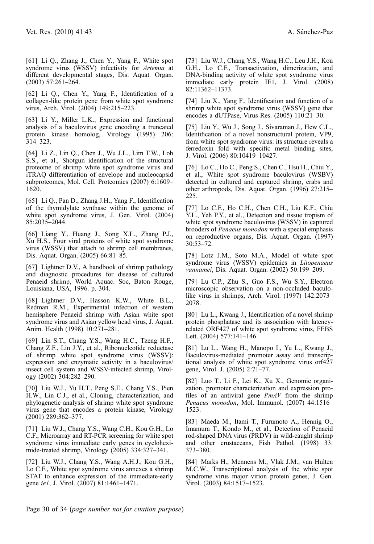<span id="page-29-0"></span>[61] Li Q., Zhang J., Chen Y., Yang F., White spot syndrome virus (WSSV) infectivity for Artemia at different developmental stages, Dis. Aquat. Organ. (2003) 57:261–264.

[62] Li Q., Chen Y., Yang F., Identification of a collagen-like protein gene from white spot syndrome virus, Arch. Virol. (2004) 149:215-223.

[63] Li Y., Miller L.K., Expression and functional analysis of a baculovirus gene encoding a truncated protein kinase homolog, Virology (1995) 206: 314–323.

[64] Li Z., Lin Q., Chen J., Wu J.L., Lim T.W., Loh S.S., et al., Shotgun identification of the structural proteome of shrimp white spot syndrome virus and iTRAQ differentiation of envelope and nucleocapsid subproteomes, Mol. Cell. Proteomics (2007) 6:1609– 1620.

[65] Li Q., Pan D., Zhang J.H., Yang F., Identification of the thymidylate synthase within the genome of white spot syndrome virus, J. Gen. Virol. (2004) 85:2035–2044.

[66] Liang Y., Huang J., Song X.L., Zhang P.J., Xu H.S., Four viral proteins of white spot syndrome virus (WSSV) that attach to shrimp cell membranes, Dis. Aquat. Organ. (2005) 66:81–85.

[67] Lightner D.V., A handbook of shrimp pathology and diagnostic procedures for disease of cultured Penaeid shrimp, World Aquac. Soc, Baton Rouge, Louisiana, USA, 1996. p. 304.

[68] Lightner D.V., Hasson K.W., White B.L., Redman R.M., Experimental infection of western hemisphere Penaeid shrimp with Asian white spot syndrome virus and Asian yellow head virus, J. Aquat. Anim. Health (1998) 10:271–281.

[69] Lin S.T., Chang Y.S., Wang H.C., Tzeng H.F., Chang Z.F., Lin J.Y., et al., Ribonucleotide reductase of shrimp white spot syndrome virus (WSSV): expression and enzymatic activity in a baculovirus/ insect cell system and WSSV-infected shrimp, Virology (2002) 304:282–290.

[70] Liu W.J., Yu H.T., Peng S.E., Chang Y.S., Pien H.W., Lin C.J., et al., Cloning, characterization, and phylogenetic analysis of shrimp white spot syndrome virus gene that encodes a protein kinase, Virology (2001) 289:362–377.

[71] Liu W.J., Chang Y.S., Wang C.H., Kou G.H., Lo C.F., Microarray and RT-PCR screening for white spot syndrome virus immediate early genes in cycloheximide-treated shrimp, Virology (2005) 334:327–341.

[72] Liu W.J., Chang Y.S., Wang A.H.J., Kou G.H., Lo C.F., White spot syndrome virus annexes a shrimp STAT to enhance expression of the immediate-early gene *ie1*, J. Virol. (2007) 81:1461-1471.

[73] Liu W.J., Chang Y.S., Wang H.C., Leu J.H., Kou G.H., Lo C.F., Transactivation, dimerization, and DNA-binding activity of white spot syndrome virus immediate early protein IE1, J. Virol. (2008) 82:11362–11373.

[74] Liu X., Yang F., Identification and function of a shrimp white spot syndrome virus (WSSV) gene that encodes a dUTPase, Virus Res. (2005) 110:21–30.

[75] Liu Y., Wu J., Song J., Sivaraman J., Hew C.L., Identification of a novel nonstructural protein, VP9, from white spot syndrome virus: its structure reveals a ferredoxin fold with specific metal binding sites, J. Virol. (2006) 80:10419–10427.

[76] Lo C., Ho C., Peng S., Chen C., Hsu H., Chiu Y., et al., White spot syndrome baculovirus (WSBV) detected in cultured and captured shrimp, crabs and other arthropods, Dis. Aquat. Organ. (1996) 27:215– 225.

[77] Lo C.F., Ho C.H., Chen C.H., Liu K.F., Chiu Y.L., Yeh P.Y., et al., Detection and tissue tropism of white spot syndrome baculovirus (WSSV) in captured brooders of Penaeus monodon with a special emphasis on reproductive organs, Dis. Aquat. Organ. (1997)  $30:53 - 72$ .

[78] Lotz J.M., Soto M.A., Model of white spot syndrome virus (WSSV) epidemics in Litopenaeus vannamei, Dis. Aquat. Organ. (2002) 50:199–209.

[79] Lu C.P., Zhu S., Guo F.S., Wu S.Y., Electron microscopic observation on a non-occluded baculolike virus in shrimps, Arch. Virol. (1997) 142:2073– 2078.

[80] Lu L., Kwang J., Identification of a novel shrimp protein phosphatase and its association with latencyrelated ORF427 of white spot syndrome virus, FEBS Lett. (2004) 577:141–146.

[81] Lu L., Wang H., Manopo I., Yu L., Kwang J., Baculovirus-mediated promoter assay and transcriptional analysis of white spot syndrome virus orf427 gene, Virol. J. (2005) 2:71–77.

[82] Luo T., Li F., Lei K., Xu X., Genomic organization, promoter characterization and expression profiles of an antiviral gene  $PmAV$  from the shrimp Penaeus monodon, Mol. Immunol. (2007) 44:1516– 1523.

[83] Maeda M., Itami T., Furumoto A., Hennig O., Imamura T., Kondo M., et al., Detection of Penaeid rod-shaped DNA virus (PRDV) in wild-caught shrimp and other crustaceans, Fish Pathol. (1998) 33: 373–380.

[84] Marks H., Mennens M., Vlak J.M., van Hulten M.C.W., Transcriptional analysis of the white spot syndrome virus major virion protein genes, J. Gen. Virol. (2003) 84:1517–1523.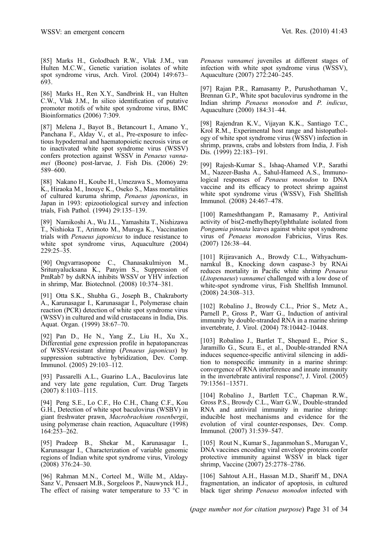<span id="page-30-0"></span>[85] Marks H., Golodbach R.W., Vlak J.M., van Hulten M.C.W., Genetic variation isolates of white spot syndrome virus, Arch. Virol. (2004) 149:673– 693.

[86] Marks H., Ren X.Y., Sandbrink H., van Hulten C.W., Vlak J.M., In silico identification of putative promoter motifs of white spot syndrome virus, BMC Bioinformatics (2006) 7:309.

[87] Melena J., Bayot B., Betancourt I., Amano Y., Panchana F., Alday V., et al., Pre-exposure to infectious hypodermal and haematopoietic necrosis virus or to inactivated white spot syndrome virus (WSSV) confers protection against WSSV in Penaeus vannamei (Boone) post-larvae, J. Fish Dis. (2006) 29: 589–600.

[88] Nakano H., Koube H., Umezawa S., Momoyama K., Hiraoka M., Inouye K., Oseko S., Mass mortalities of cultured kuruma shrimp, Penaeus japonicus, in Japan in 1993: epizootiological survey and infection trials, Fish Pathol. (1994) 29:135–139.

[89] Namikoshi A., Wu J.L., Yamashita T., Nishizawa T., Nishioka T., Arimoto M., Muroga K., Vaccination trials with Penaeus japonicus to induce resistance to white spot syndrome virus, Aquaculture (2004)  $229:25-35.$ 

[90] Ongvarrasopone C., Chanasakulmiyon M., Sritunyalucksana K., Panyim S., Suppression of PmRab7 by dsRNA inhibits WSSV or YHV infection in shrimp, Mar. Biotechnol. (2008) 10:374–381.

[91] Otta S.K., Shubha G., Joseph B., Chakraborty A., Karunasagar I., Karunasagar I., Polymerase chain reaction (PCR) detection of white spot syndrome virus (WSSV) in cultured and wild crustaceans in India, Dis. Aquat. Organ. (1999) 38:67–70.

[92] Pan D., He N., Yang Z., Liu H., Xu X., Differential gene expression profile in hepatopancreas of WSSV-resistant shrimp (Penaeus japonicus) by suppression subtractive hybridization, Dev. Comp. Immunol. (2005) 29:103–112.

[93] Passarelli A.L., Guarino L.A., Baculovirus late and very late gene regulation, Curr. Drug Targets (2007) 8:1103–1115.

[94] Peng S.E., Lo C.F., Ho C.H., Chang C.F., Kou G.H., Detection of white spot baculovirus (WSBV) in giant freshwater prawn, Macrobrachium rosenbergii, using polymerase chain reaction, Aquaculture (1998) 164:253–262.

[95] Pradeep B., Shekar M., Karunasagar I., Karunasagar I., Characterization of variable genomic regions of Indian white spot syndrome virus, Virology (2008) 376:24–30.

[96] Rahman M.N., Corteel M., Wille M., Alday-Sanz V., Pensaert M.B., Sorgeloos P., Nauwynck H.J., The effect of raising water temperature to 33  $^{\circ}$ C in Penaeus vannamei juveniles at different stages of infection with white spot syndrome virus (WSSV), Aquaculture (2007) 272:240–245.

[97] Rajan P.R., Ramasamy P., Purushothaman V., Brennan G.P., White spot baculovirus syndrome in the Indian shrimp Penaeus monodon and P. indicus, Aquaculture (2000) 184:31–44.

[98] Rajendran K.V., Vijayan K.K., Santiago T.C., Krol R.M., Experimental host range and histopathology of white spot syndrome virus (WSSV) infection in shrimp, prawns, crabs and lobsters from India, J. Fish Dis. (1999) 22:183–191.

[99] Rajesh-Kumar S., Ishaq-Ahamed V.P., Sarathi M., Nazeer-Basha A., Sahul-Hameed A.S., Immunological responses of Penaeus monodon to DNA vaccine and its efficacy to protect shrimp against white spot syndrome virus (WSSV), Fish Shellfish Immunol. (2008) 24:467–478.

[100] Rameshthangam P., Ramasamy P., Antiviral activity of bis(2-methylheptyl)phthalate isolated from Pongamia pinnata leaves against white spot syndrome virus of Penaeus monodon Fabricius, Virus Res. (2007) 126:38–44.

[101] Rijiravanich A., Browdy C.L., Withyachumnarnkul B., Knocking down caspase-3 by RNAi reduces mortality in Pacific white shrimp Penaeus (Litopenaeus) vannamei challenged with a low dose of white-spot syndrome virus, Fish Shellfish Immunol. (2008) 24:308–313.

[102] Robalino J., Browdy C.L., Prior S., Metz A., Parnell P., Gross P., Warr G., Induction of antiviral immunity by double-stranded RNA in a marine shrimp invertebrate, J. Virol. (2004) 78:10442–10448.

[103] Robalino J., Bartlet T., Shepard E., Prior S., Jaramillo G., Scura E., et al., Double-stranded RNA induces sequence-specific antiviral silencing in addition to nonspecific immunity in a marine shrimp: convergence of RNA interference and innate immunity in the invertebrate antiviral response?, J. Virol. (2005) 79:13561–13571.

[104] Robalino J., Bartlett T.C., Chapman R.W., Gross P.S., Browdy C.L., Warr G.W., Double-stranded RNA and antiviral immunity in marine shrimp: inducible host mechanisms and evidence for the evolution of viral counter-responses, Dev. Comp. Immunol. (2007) 31:539–547.

[105] Rout N., Kumar S., Jaganmohan S., Murugan V., DNA vaccines encoding viral envelope proteins confer protective immunity against WSSV in black tiger shrimp, Vaccine (2007) 25:2778–2786.

[106] Sahtout A.H., Hassan M.D., Shariff M., DNA fragmentation, an indicator of apoptosis, in cultured black tiger shrimp Penaeus monodon infected with

(page number not for citation purpose) Page 31 of 34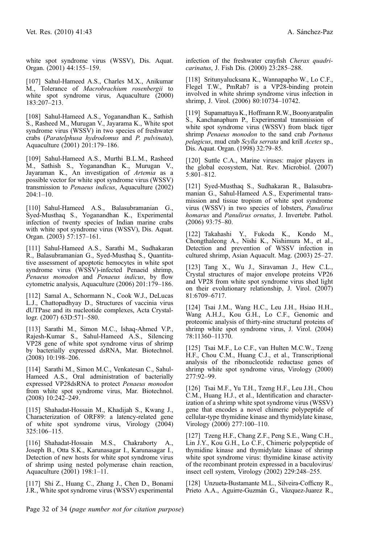<span id="page-31-0"></span>white spot syndrome virus (WSSV), Dis. Aquat. Organ. (2001) 44:155–159.

[107] Sahul-Hameed A.S., Charles M.X., Anikumar M., Tolerance of Macrobrachium rosenbergii to white spot syndrome virus, Aquaculture  $(2000)$ 183:207–213.

[108] Sahul-Hameed A.S., Yoganandhan K., Sathish S., Rasheed M., Murugan V., Jayarama K., White spot syndrome virus (WSSV) in two species of freshwater crabs (Paratelphusa hydrodomus and P. pulvinata), Aquaculture (2001) 201:179–186.

[109] Sahul-Hameed A.S., Murthi B.L.M., Rasheed M., Sathish S., Yoganandhan K., Murugan V., Jayaraman K., An investigation of Artemia as a possible vector for white spot syndrome virus (WSSV) transmission to *Penaeus indicus*, Aquaculture (2002) 204:1–10.

[110] Sahul-Hameed A.S., Balasubramanian G., Syed-Musthaq S., Yoganandhan K., Experimental infection of twenty species of Indian marine crabs with white spot syndrome virus (WSSV), Dis. Aquat. Organ. (2003) 57:157–161.

[111] Sahul-Hameed A.S., Sarathi M., Sudhakaran R., Balasubramanian G., Syed-Musthaq S., Quantitative assessment of apoptotic hemocytes in white spot syndrome virus (WSSV)-infected Penaeid shrimp, Penaeus monodon and Penaeus indicus, by flow cytometric analysis, Aquaculture (2006) 201:179–186.

[112] Samal A., Schormann N., Cook W.J., DeLucas L.J., Chattopadhyay D., Structures of vaccinia virus dUTPase and its nucleotide complexes, Acta Crystallogr. (2007) 63D:571–580.

[113] Sarathi M., Simon M.C., Ishaq-Ahmed V.P., Rajesh-Kumar S., Sahul-Hameed A.S., Silencing VP28 gene of white spot syndrome virus of shrimp by bacterially expressed dsRNA, Mar. Biotechnol. (2008) 10:198–206.

[114] Sarathi M., Simon M.C., Venkatesan C., Sahul-Hameed A.S., Oral administration of bacterially expressed VP28dsRNA to protect Penaeus monodon from white spot syndrome virus, Mar. Biotechnol. (2008) 10:242–249.

[115] Shahadat-Hossain M., Khadijah S., Kwang J., Characterization of ORF89: a latency-related gene of white spot syndrome virus, Virology (2004) 325:106–115.

[116] Shahadat-Hossain M.S., Chakraborty A., Joseph B., Otta S.K., Karunasagar I., Karunasagar I., Detection of new hosts for white spot syndrome virus of shrimp using nested polymerase chain reaction, Aquaculture (2001) 198:1–11.

[117] Shi Z., Huang C., Zhang J., Chen D., Bonami J.R., White spot syndrome virus (WSSV) experimental infection of the freshwater crayfish Cherax quadricarinatus, J. Fish Dis. (2000) 23:285–288.

[118] Sritunyalucksana K., Wannapapho W., Lo C.F., Flegel T.W., PmRab7 is a VP28-binding protein involved in white shrimp syndrome virus infection in shrimp, J. Virol. (2006) 80:10734–10742.

[119] Supamattaya K., Hoffmann R.W., Boonyaratpalin S., Kanchanaphum P., Experimental transmission of white spot syndrome virus (WSSV) from black tiger shrimp Penaeus monodon to the sand crab Portunus pelagicus, mud crab Scylla serrata and krill Acetes sp., Dis. Aquat. Organ. (1998) 32:79–85.

[120] Suttle C.A., Marine viruses: major players in the global ecosystem, Nat. Rev. Microbiol. (2007) 5:801–812.

[121] Syed-Musthaq S., Sudhakaran R., Balasubramanian G., Sahul-Hameed A.S., Experimental transmission and tissue tropism of white spot syndrome virus (WSSV) in two species of lobsters, Panulirus homarus and Panulirus ornatus, J. Invertebr. Pathol. (2006) 93:75–80.

[122] Takahashi Y., Fukoda K., Kondo M., Chongthaleong A., Nishi K., Nishimura M., et al., Detection and prevention of WSSV infection in cultured shrimp, Asian Aquacult. Mag. (2003) 25–27.

[123] Tang X., Wu J., Siravaman J., Hew C.L., Crystal structures of major envelope proteins VP26 and VP28 from white spot syndrome virus shed light on their evolutionary relationship, J. Virol. (2007) 81:6709–6717.

[124] Tsai J.M., Wang H.C., Leu J.H., Hsiao H.H., Wang A.H.J., Kou G.H., Lo C.F., Genomic and proteomic analysis of thirty-nine structural proteins of shrimp white spot syndrome virus, J. Virol. (2004) 78:11360–11370.

[125] Tsai M.F., Lo C.F., van Hulten M.C.W., Tzeng H.F., Chou C.M., Huang C.J., et al., Transcriptional analysis of the ribonucleotide reductase genes of shrimp white spot syndrome virus, Virology (2000) 277:92–99.

[126] Tsai M.F., Yu T.H., Tzeng H.F., Leu J.H., Chou C.M., Huang H.J., et al., Identification and characterization of a shrimp white spot syndrome virus (WSSV) gene that encodes a novel chimeric polypeptide of cellular-type thymidine kinase and thymidylate kinase, Virology (2000) 277:100–110.

[127] Tzeng H.F., Chang Z.F., Peng S.E., Wang C.H., Lin J.Y., Kou G.H., Lo C.F., Chimeric polypeptide of thymidine kinase and thymidylate kinase of shrimp white spot syndrome virus: thymidine kinase activity of the recombinant protein expressed in a baculovirus/ insect cell system, Virology (2002) 229:248–255.

[128] Unzueta-Bustamante M.L., Silveira-Cofficny R., Prieto A.A., Aguirre-Guzmán G., Vázquez-Juarez R.,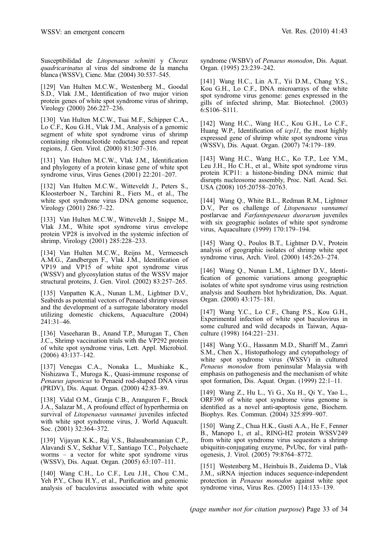<span id="page-32-0"></span>Susceptibilidad de Litopenaeus schmitti y Cherax quadricarinatus al virus del sindrome de la mancha blanca (WSSV), Cienc. Mar. (2004) 30:537–545.

[129] Van Hulten M.C.W., Westenberg M., Goodal S.D., Vlak J.M., Identification of two major virion protein genes of white spot syndrome virus of shrimp, Virology (2000) 266:227–236.

[130] Van Hulten M.C.W., Tsai M.F., Schipper C.A., Lo C.F., Kou G.H., Vlak J.M., Analysis of a genomic segment of white spot syndrome virus of shrimp containing ribonucleotide reductase genes and repeat regions, J. Gen. Virol. (2000) 81:307–316.

[131] Van Hulten M.C.W., Vlak J.M., Identification and phylogeny of a protein kinase gene of white spot syndrome virus, Virus Genes (2001) 22:201–207.

[132] Van Hulten M.C.W., Witteveldt J., Peters S., Kloosterboer N., Tarchini R., Fiers M., et al., The white spot syndrome virus DNA genome sequence, Virology (2001) 286:7–22.

[133] Van Hulten M.C.W., Witteveldt J., Snippe M., Vlak J.M., White spot syndrome virus envelope protein VP28 is involved in the systemic infection of shrimp, Virology (2001) 285:228–233.

[134] Van Hulten M.C.W., Reijns M., Vermeesch A.M.G., Zandbergen F., Vlak J.M., Identification of VP19 and VP15 of white spot syndrome virus (WSSV) and glycosylation status of the WSSV major structural proteins, J. Gen. Virol. (2002) 83:257–265.

[135] Vanpatten K.A., Nunan L.M., Lightner D.V., Seabirds as potential vectors of Penaeid shrimp viruses and the development of a surrogate laboratory model utilizing domestic chickens, Aquaculture (2004) 241:31–46.

[136] Vaseeharan B., Anand T.P., Murugan T., Chen J.C., Shrimp vaccination trials with the VP292 protein of white spot syndrome virus, Lett. Appl. Microbiol. (2006) 43:137–142.

[137] Venegas C.A., Nonaka L., Mushiake K., Nishizawa T., Muroga K., Quasi-immune response of Penaeus japonicus to Penaeid rod-shaped DNA virus (PRDV), Dis. Aquat. Organ. (2000) 42:83–89.

[138] Vidal O.M., Granja C.B., Aranguren F., Brock J.A., Salazar M., A profound effect of hyperthermia on survival of Litopenaeus vannamei juveniles infected with white spot syndrome virus, J. World Aquacult. Soc. (2001) 32:364–372.

[139] Vijayan K.K., Raj V.S., Balasubramanian C.P., Alavandi S.V., Sekhar V.T., Santiago T.C., Polychaete worms – a vector for white spot syndrome virus (WSSV), Dis. Aquat. Organ. (2005) 63:107–111.

[140] Wang C.H., Lo C.F., Leu J.H., Chou C.M., Yeh P.Y., Chou H.Y., et al., Purification and genomic analysis of baculovirus associated with white spot syndrome (WSBV) of Penaeus monodon, Dis. Aquat. Organ. (1995) 23:239–242.

[141] Wang H.C., Lin A.T., Yii D.M., Chang Y.S., Kou G.H., Lo C.F., DNA microarrays of the white spot syndrome virus genome: genes expressed in the gills of infected shrimp, Mar. Biotechnol. (2003) 6:S106–S111.

[142] Wang H.C., Wang H.C., Kou G.H., Lo C.F., Huang W.P., Identification of *icp11*, the most highly expressed gene of shrimp white spot syndrome virus (WSSV), Dis. Aquat. Organ. (2007) 74:179–189.

[143] Wang H.C., Wang H.C., Ko T.P., Lee Y.M., Leu J.H., Ho C.H., et al., White spot syndrome virus protein ICP11: a histone-binding DNA mimic that disrupts nucleosome assembly, Proc. Natl. Acad. Sci. USA (2008) 105:20758–20763.

[144] Wang Q., White B.L., Redman R.M., Lightner D.V., Per os challenge of Litopenaeus vannamei postlarvae and Farfantepenaeus duorarum juveniles with six geographic isolates of white spot syndrome virus, Aquaculture (1999) 170:179–194.

[145] Wang Q., Poulos B.T., Lightner D.V., Protein analysis of geographic isolates of shrimp white spot syndrome virus, Arch. Virol. (2000) 145:263–274.

[146] Wang Q., Nunan L.M., Lightner D.V., Identification of genomic variations among geographic isolates of white spot syndrome virus using restriction analysis and Southern blot hybridization, Dis. Aquat. Organ. (2000) 43:175–181.

[147] Wang Y.C., Lo C.F., Chang P.S., Kou G.H., Experimental infection of white spot baculovirus in some cultured and wild decapods in Taiwan, Aquaculture (1998) 164:221–231.

[148] Wang Y.G., Hassanm M.D., Shariff M., Zamri S.M., Chen X., Histopathology and cytopathology of white spot syndrome virus (WSSV) in cultured Penaeus monodon from peninsular Malaysia with emphasis on pathogenesis and the mechanism of white spot formation, Dis. Aquat. Organ. (1999) 22:1–11.

[149] Wang Z., Hu L., Yi G., Xu H., Qi Y., Yao L., ORF390 of white spot syndrome virus genome is identified as a novel anti-apoptosis gene, Biochem. Biophys. Res. Commun. (2004) 325:899–907.

[150] Wang Z., Chua H.K., Gusti A.A., He F., Fenner B., Manopo I., et al., RING-H2 protein WSSV249 from white spot syndrome virus sequesters a shrimp ubiquitin-conjugating enzyme, PvUbc, for viral pathogenesis, J. Virol. (2005) 79:8764–8772.

[151] Westenberg M., Heinhuis B., Zuidema D., Vlak J.M., siRNA injection induces sequence-independent protection in Penaeus monodon against white spot syndrome virus, Virus Res. (2005) 114:133–139.

(page number not for citation purpose) Page 33 of 34